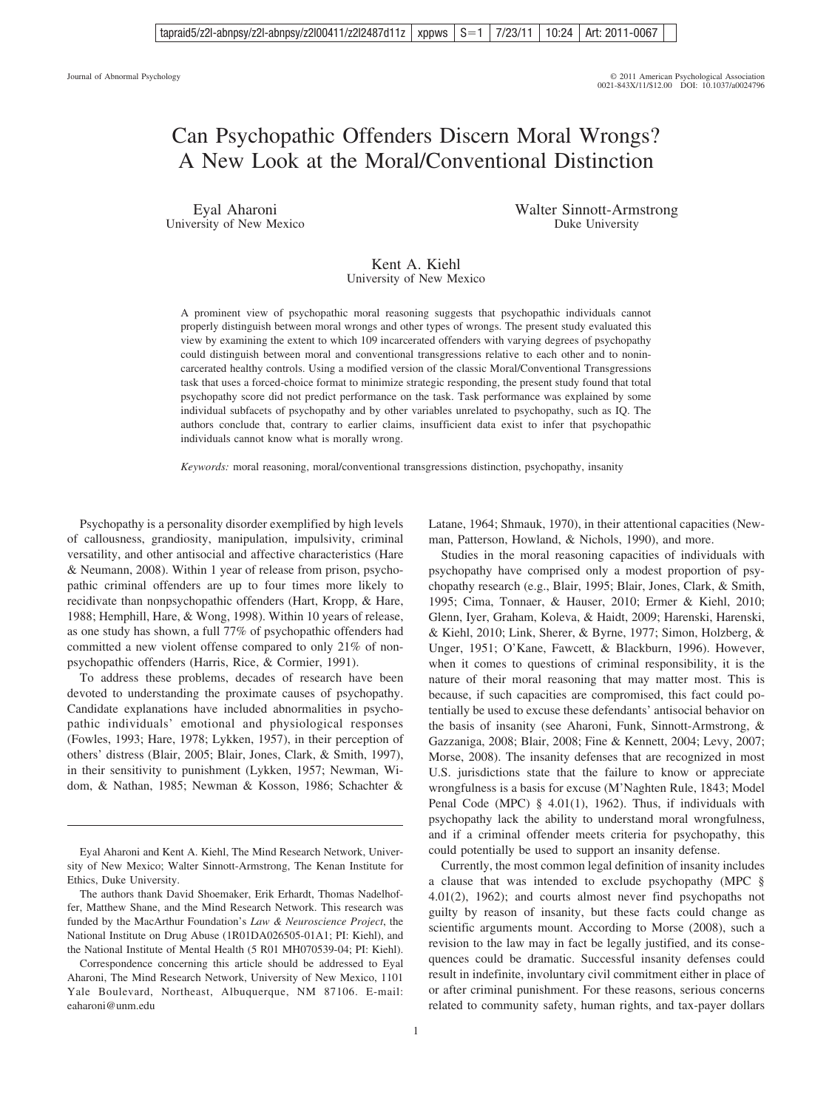# Can Psychopathic Offenders Discern Moral Wrongs? A New Look at the Moral/Conventional Distinction

Eyal Aharoni University of New Mexico Walter Sinnott-Armstrong Duke University

## Kent A. Kiehl University of New Mexico

A prominent view of psychopathic moral reasoning suggests that psychopathic individuals cannot properly distinguish between moral wrongs and other types of wrongs. The present study evaluated this view by examining the extent to which 109 incarcerated offenders with varying degrees of psychopathy could distinguish between moral and conventional transgressions relative to each other and to nonincarcerated healthy controls. Using a modified version of the classic Moral/Conventional Transgressions task that uses a forced-choice format to minimize strategic responding, the present study found that total psychopathy score did not predict performance on the task. Task performance was explained by some individual subfacets of psychopathy and by other variables unrelated to psychopathy, such as IQ. The authors conclude that, contrary to earlier claims, insufficient data exist to infer that psychopathic individuals cannot know what is morally wrong.

*Keywords:* moral reasoning, moral/conventional transgressions distinction, psychopathy, insanity

Psychopathy is a personality disorder exemplified by high levels of callousness, grandiosity, manipulation, impulsivity, criminal versatility, and other antisocial and affective characteristics (Hare & Neumann, 2008). Within 1 year of release from prison, psychopathic criminal offenders are up to four times more likely to recidivate than nonpsychopathic offenders (Hart, Kropp, & Hare, 1988; Hemphill, Hare, & Wong, 1998). Within 10 years of release, as one study has shown, a full 77% of psychopathic offenders had committed a new violent offense compared to only 21% of nonpsychopathic offenders (Harris, Rice, & Cormier, 1991).

To address these problems, decades of research have been devoted to understanding the proximate causes of psychopathy. Candidate explanations have included abnormalities in psychopathic individuals' emotional and physiological responses (Fowles, 1993; Hare, 1978; Lykken, 1957), in their perception of others' distress (Blair, 2005; Blair, Jones, Clark, & Smith, 1997), in their sensitivity to punishment (Lykken, 1957; Newman, Widom, & Nathan, 1985; Newman & Kosson, 1986; Schachter &

Latane, 1964; Shmauk, 1970), in their attentional capacities (Newman, Patterson, Howland, & Nichols, 1990), and more.

Studies in the moral reasoning capacities of individuals with psychopathy have comprised only a modest proportion of psychopathy research (e.g., Blair, 1995; Blair, Jones, Clark, & Smith, 1995; Cima, Tonnaer, & Hauser, 2010; Ermer & Kiehl, 2010; Glenn, Iyer, Graham, Koleva, & Haidt, 2009; Harenski, Harenski, & Kiehl, 2010; Link, Sherer, & Byrne, 1977; Simon, Holzberg, & Unger, 1951; O'Kane, Fawcett, & Blackburn, 1996). However, when it comes to questions of criminal responsibility, it is the nature of their moral reasoning that may matter most. This is because, if such capacities are compromised, this fact could potentially be used to excuse these defendants' antisocial behavior on the basis of insanity (see Aharoni, Funk, Sinnott-Armstrong, & Gazzaniga, 2008; Blair, 2008; Fine & Kennett, 2004; Levy, 2007; Morse, 2008). The insanity defenses that are recognized in most U.S. jurisdictions state that the failure to know or appreciate wrongfulness is a basis for excuse (M'Naghten Rule, 1843; Model Penal Code (MPC) § 4.01(1), 1962). Thus, if individuals with psychopathy lack the ability to understand moral wrongfulness, and if a criminal offender meets criteria for psychopathy, this could potentially be used to support an insanity defense.

Currently, the most common legal definition of insanity includes a clause that was intended to exclude psychopathy (MPC § 4.01(2), 1962); and courts almost never find psychopaths not guilty by reason of insanity, but these facts could change as scientific arguments mount. According to Morse (2008), such a revision to the law may in fact be legally justified, and its consequences could be dramatic. Successful insanity defenses could result in indefinite, involuntary civil commitment either in place of or after criminal punishment. For these reasons, serious concerns related to community safety, human rights, and tax-payer dollars

Eyal Aharoni and Kent A. Kiehl, The Mind Research Network, University of New Mexico; Walter Sinnott-Armstrong, The Kenan Institute for Ethics, Duke University.

The authors thank David Shoemaker, Erik Erhardt, Thomas Nadelhoffer, Matthew Shane, and the Mind Research Network. This research was funded by the MacArthur Foundation's *Law & Neuroscience Project*, the National Institute on Drug Abuse (1R01DA026505-01A1; PI: Kiehl), and the National Institute of Mental Health (5 R01 MH070539-04; PI: Kiehl).

Correspondence concerning this article should be addressed to Eyal Aharoni, The Mind Research Network, University of New Mexico, 1101 Yale Boulevard, Northeast, Albuquerque, NM 87106. E-mail: eaharoni@unm.edu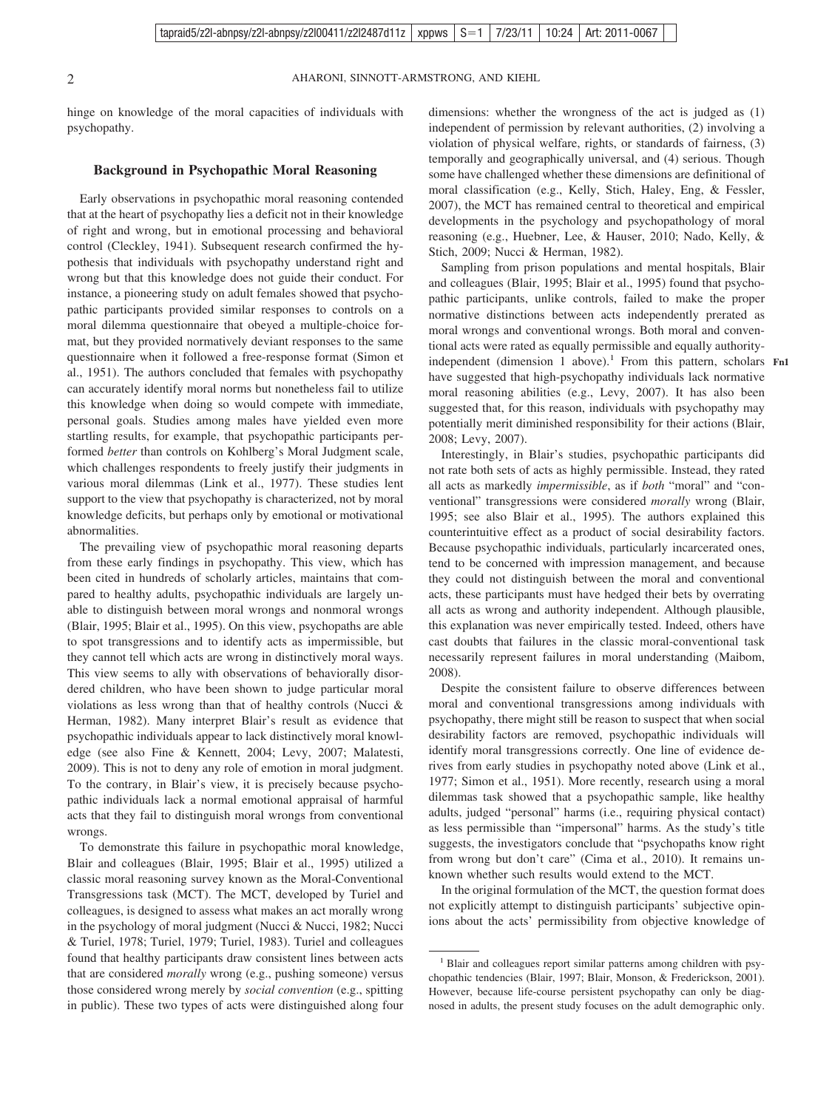hinge on knowledge of the moral capacities of individuals with psychopathy.

# **Background in Psychopathic Moral Reasoning**

Early observations in psychopathic moral reasoning contended that at the heart of psychopathy lies a deficit not in their knowledge of right and wrong, but in emotional processing and behavioral control (Cleckley, 1941). Subsequent research confirmed the hypothesis that individuals with psychopathy understand right and wrong but that this knowledge does not guide their conduct. For instance, a pioneering study on adult females showed that psychopathic participants provided similar responses to controls on a moral dilemma questionnaire that obeyed a multiple-choice format, but they provided normatively deviant responses to the same questionnaire when it followed a free-response format (Simon et al., 1951). The authors concluded that females with psychopathy can accurately identify moral norms but nonetheless fail to utilize this knowledge when doing so would compete with immediate, personal goals. Studies among males have yielded even more startling results, for example, that psychopathic participants performed *better* than controls on Kohlberg's Moral Judgment scale, which challenges respondents to freely justify their judgments in various moral dilemmas (Link et al., 1977). These studies lent support to the view that psychopathy is characterized, not by moral knowledge deficits, but perhaps only by emotional or motivational abnormalities.

The prevailing view of psychopathic moral reasoning departs from these early findings in psychopathy. This view, which has been cited in hundreds of scholarly articles, maintains that compared to healthy adults, psychopathic individuals are largely unable to distinguish between moral wrongs and nonmoral wrongs (Blair, 1995; Blair et al., 1995). On this view, psychopaths are able to spot transgressions and to identify acts as impermissible, but they cannot tell which acts are wrong in distinctively moral ways. This view seems to ally with observations of behaviorally disordered children, who have been shown to judge particular moral violations as less wrong than that of healthy controls (Nucci & Herman, 1982). Many interpret Blair's result as evidence that psychopathic individuals appear to lack distinctively moral knowledge (see also Fine & Kennett, 2004; Levy, 2007; Malatesti, 2009). This is not to deny any role of emotion in moral judgment. To the contrary, in Blair's view, it is precisely because psychopathic individuals lack a normal emotional appraisal of harmful acts that they fail to distinguish moral wrongs from conventional wrongs.

To demonstrate this failure in psychopathic moral knowledge, Blair and colleagues (Blair, 1995; Blair et al., 1995) utilized a classic moral reasoning survey known as the Moral-Conventional Transgressions task (MCT). The MCT, developed by Turiel and colleagues, is designed to assess what makes an act morally wrong in the psychology of moral judgment (Nucci & Nucci, 1982; Nucci & Turiel, 1978; Turiel, 1979; Turiel, 1983). Turiel and colleagues found that healthy participants draw consistent lines between acts that are considered *morally* wrong (e.g., pushing someone) versus those considered wrong merely by *social convention* (e.g., spitting in public). These two types of acts were distinguished along four

dimensions: whether the wrongness of the act is judged as (1) independent of permission by relevant authorities, (2) involving a violation of physical welfare, rights, or standards of fairness, (3) temporally and geographically universal, and (4) serious. Though some have challenged whether these dimensions are definitional of moral classification (e.g., Kelly, Stich, Haley, Eng, & Fessler, 2007), the MCT has remained central to theoretical and empirical developments in the psychology and psychopathology of moral reasoning (e.g., Huebner, Lee, & Hauser, 2010; Nado, Kelly, & Stich, 2009; Nucci & Herman, 1982).

Sampling from prison populations and mental hospitals, Blair and colleagues (Blair, 1995; Blair et al., 1995) found that psychopathic participants, unlike controls, failed to make the proper normative distinctions between acts independently prerated as moral wrongs and conventional wrongs. Both moral and conventional acts were rated as equally permissible and equally authorityindependent (dimension 1 above).<sup>1</sup> From this pattern, scholars Fn1 have suggested that high-psychopathy individuals lack normative moral reasoning abilities (e.g., Levy, 2007). It has also been suggested that, for this reason, individuals with psychopathy may potentially merit diminished responsibility for their actions (Blair, 2008; Levy, 2007).

Interestingly, in Blair's studies, psychopathic participants did not rate both sets of acts as highly permissible. Instead, they rated all acts as markedly *impermissible*, as if *both* "moral" and "conventional" transgressions were considered *morally* wrong (Blair, 1995; see also Blair et al., 1995). The authors explained this counterintuitive effect as a product of social desirability factors. Because psychopathic individuals, particularly incarcerated ones, tend to be concerned with impression management, and because they could not distinguish between the moral and conventional acts, these participants must have hedged their bets by overrating all acts as wrong and authority independent. Although plausible, this explanation was never empirically tested. Indeed, others have cast doubts that failures in the classic moral-conventional task necessarily represent failures in moral understanding (Maibom, 2008).

Despite the consistent failure to observe differences between moral and conventional transgressions among individuals with psychopathy, there might still be reason to suspect that when social desirability factors are removed, psychopathic individuals will identify moral transgressions correctly. One line of evidence derives from early studies in psychopathy noted above (Link et al., 1977; Simon et al., 1951). More recently, research using a moral dilemmas task showed that a psychopathic sample, like healthy adults, judged "personal" harms (i.e., requiring physical contact) as less permissible than "impersonal" harms. As the study's title suggests, the investigators conclude that "psychopaths know right from wrong but don't care" (Cima et al., 2010). It remains unknown whether such results would extend to the MCT.

In the original formulation of the MCT, the question format does not explicitly attempt to distinguish participants' subjective opinions about the acts' permissibility from objective knowledge of

<sup>&</sup>lt;sup>1</sup> Blair and colleagues report similar patterns among children with psychopathic tendencies (Blair, 1997; Blair, Monson, & Frederickson, 2001). However, because life-course persistent psychopathy can only be diagnosed in adults, the present study focuses on the adult demographic only.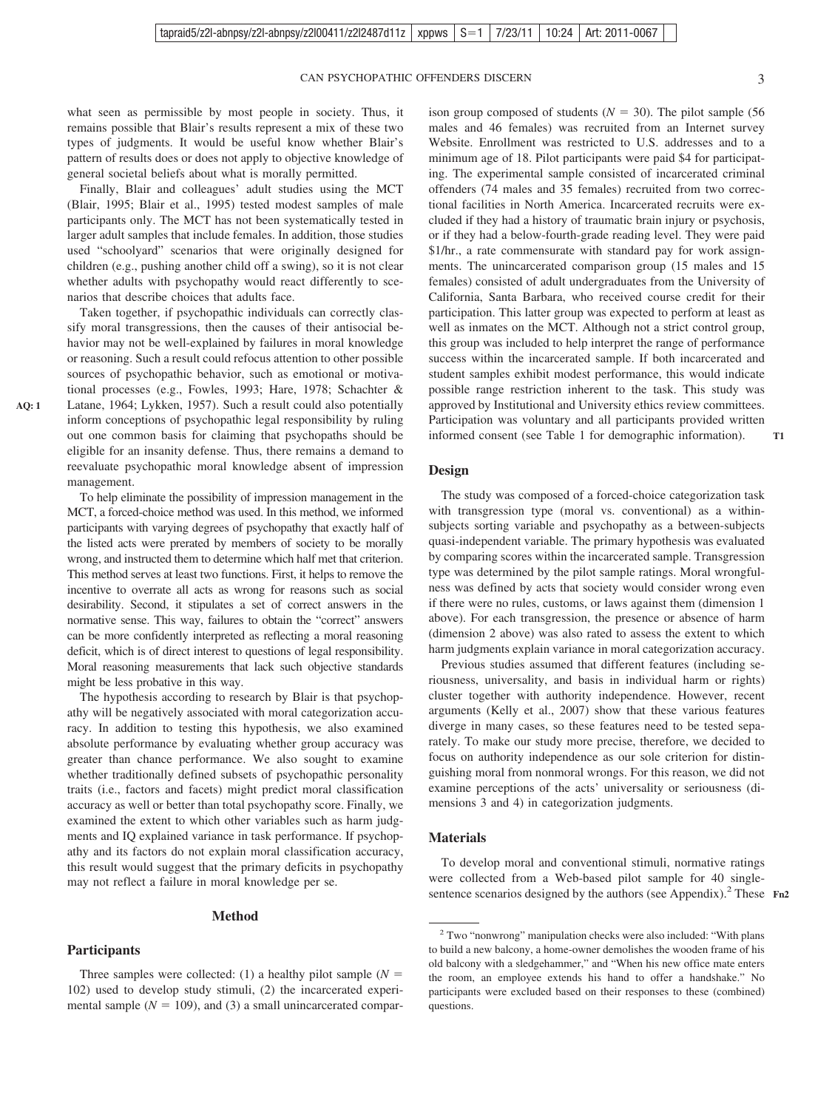what seen as permissible by most people in society. Thus, it remains possible that Blair's results represent a mix of these two types of judgments. It would be useful know whether Blair's pattern of results does or does not apply to objective knowledge of general societal beliefs about what is morally permitted.

Finally, Blair and colleagues' adult studies using the MCT (Blair, 1995; Blair et al., 1995) tested modest samples of male participants only. The MCT has not been systematically tested in larger adult samples that include females. In addition, those studies used "schoolyard" scenarios that were originally designed for children (e.g., pushing another child off a swing), so it is not clear whether adults with psychopathy would react differently to scenarios that describe choices that adults face.

Taken together, if psychopathic individuals can correctly classify moral transgressions, then the causes of their antisocial behavior may not be well-explained by failures in moral knowledge or reasoning. Such a result could refocus attention to other possible sources of psychopathic behavior, such as emotional or motivational processes (e.g., Fowles, 1993; Hare, 1978; Schachter & Latane, 1964; Lykken, 1957). Such a result could also potentially inform conceptions of psychopathic legal responsibility by ruling out one common basis for claiming that psychopaths should be eligible for an insanity defense. Thus, there remains a demand to reevaluate psychopathic moral knowledge absent of impression management.

To help eliminate the possibility of impression management in the MCT, a forced-choice method was used. In this method, we informed participants with varying degrees of psychopathy that exactly half of the listed acts were prerated by members of society to be morally wrong, and instructed them to determine which half met that criterion. This method serves at least two functions. First, it helps to remove the incentive to overrate all acts as wrong for reasons such as social desirability. Second, it stipulates a set of correct answers in the normative sense. This way, failures to obtain the "correct" answers can be more confidently interpreted as reflecting a moral reasoning deficit, which is of direct interest to questions of legal responsibility. Moral reasoning measurements that lack such objective standards might be less probative in this way.

The hypothesis according to research by Blair is that psychopathy will be negatively associated with moral categorization accuracy. In addition to testing this hypothesis, we also examined absolute performance by evaluating whether group accuracy was greater than chance performance. We also sought to examine whether traditionally defined subsets of psychopathic personality traits (i.e., factors and facets) might predict moral classification accuracy as well or better than total psychopathy score. Finally, we examined the extent to which other variables such as harm judgments and IQ explained variance in task performance. If psychopathy and its factors do not explain moral classification accuracy, this result would suggest that the primary deficits in psychopathy may not reflect a failure in moral knowledge per se.

#### **Method**

#### **Participants**

Three samples were collected: (1) a healthy pilot sample ( $N =$ 102) used to develop study stimuli, (2) the incarcerated experimental sample  $(N = 109)$ , and (3) a small unincarcerated comparison group composed of students  $(N = 30)$ . The pilot sample (56) males and 46 females) was recruited from an Internet survey Website. Enrollment was restricted to U.S. addresses and to a minimum age of 18. Pilot participants were paid \$4 for participating. The experimental sample consisted of incarcerated criminal offenders (74 males and 35 females) recruited from two correctional facilities in North America. Incarcerated recruits were excluded if they had a history of traumatic brain injury or psychosis, or if they had a below-fourth-grade reading level. They were paid \$1/hr., a rate commensurate with standard pay for work assignments. The unincarcerated comparison group (15 males and 15 females) consisted of adult undergraduates from the University of California, Santa Barbara, who received course credit for their participation. This latter group was expected to perform at least as well as inmates on the MCT. Although not a strict control group, this group was included to help interpret the range of performance success within the incarcerated sample. If both incarcerated and student samples exhibit modest performance, this would indicate possible range restriction inherent to the task. This study was approved by Institutional and University ethics review committees. Participation was voluntary and all participants provided written informed consent (see Table 1 for demographic information).

# **Design**

The study was composed of a forced-choice categorization task with transgression type (moral vs. conventional) as a withinsubjects sorting variable and psychopathy as a between-subjects quasi-independent variable. The primary hypothesis was evaluated by comparing scores within the incarcerated sample. Transgression type was determined by the pilot sample ratings. Moral wrongfulness was defined by acts that society would consider wrong even if there were no rules, customs, or laws against them (dimension 1 above). For each transgression, the presence or absence of harm (dimension 2 above) was also rated to assess the extent to which harm judgments explain variance in moral categorization accuracy.

Previous studies assumed that different features (including seriousness, universality, and basis in individual harm or rights) cluster together with authority independence. However, recent arguments (Kelly et al., 2007) show that these various features diverge in many cases, so these features need to be tested separately. To make our study more precise, therefore, we decided to focus on authority independence as our sole criterion for distinguishing moral from nonmoral wrongs. For this reason, we did not examine perceptions of the acts' universality or seriousness (dimensions 3 and 4) in categorization judgments.

#### **Materials**

To develop moral and conventional stimuli, normative ratings were collected from a Web-based pilot sample for 40 singlesentence scenarios designed by the authors (see Appendix).<sup>2</sup> These Fn2

**T1**

 $^2$  Two "nonwrong" manipulation checks were also included: "With plans to build a new balcony, a home-owner demolishes the wooden frame of his old balcony with a sledgehammer," and "When his new office mate enters the room, an employee extends his hand to offer a handshake." No participants were excluded based on their responses to these (combined) questions.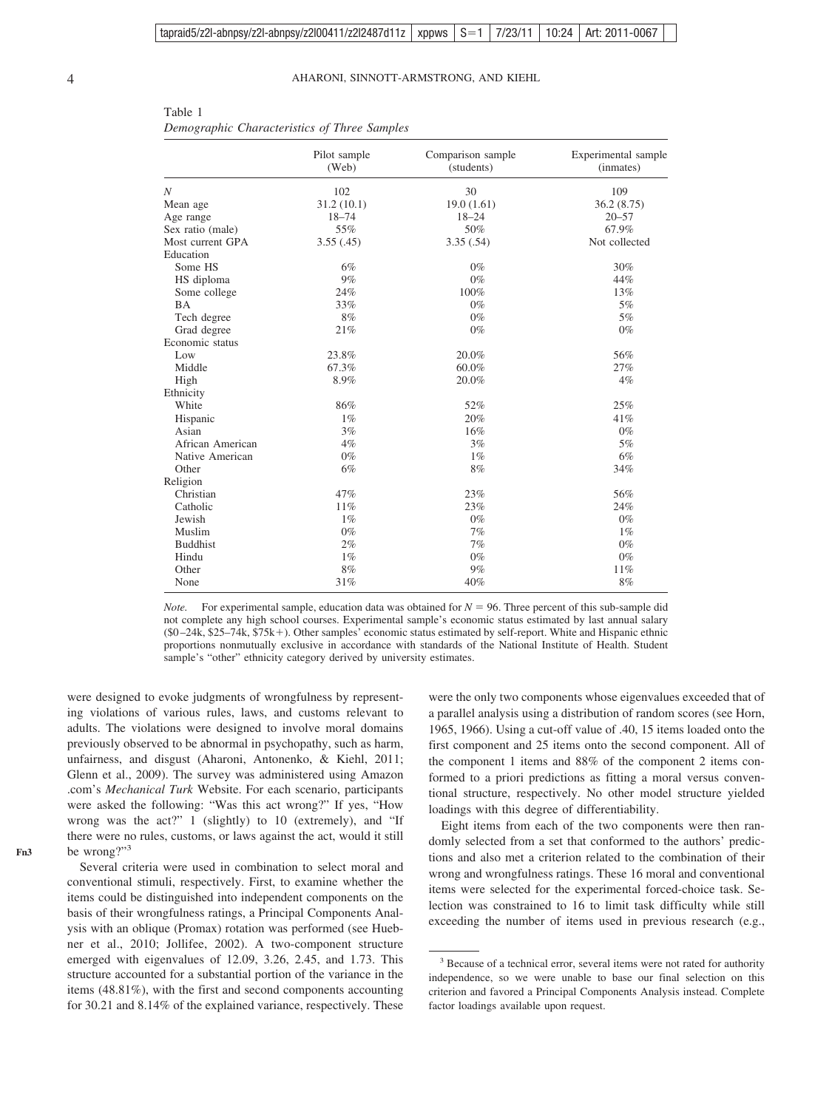|                  | Pilot sample<br>(Web) | Comparison sample<br>(students) | Experimental sample<br>(inmates) |
|------------------|-----------------------|---------------------------------|----------------------------------|
| N                | 102                   | 30                              | 109                              |
| Mean age         | 31.2(10.1)            | 19.0(1.61)                      | 36.2(8.75)                       |
| Age range        | $18 - 74$             | $18 - 24$                       | $20 - 57$                        |
| Sex ratio (male) | 55%                   | 50%                             | 67.9%                            |
| Most current GPA | 3.55(.45)             | 3.35(.54)                       | Not collected                    |
| Education        |                       |                                 |                                  |
| Some HS          | 6%                    | $0\%$                           | 30%                              |
| HS diploma       | 9%                    | $0\%$                           | 44%                              |
| Some college     | 24%                   | 100%                            | 13%                              |
| BA               | 33%                   | $0\%$                           | 5%                               |
| Tech degree      | 8%                    | $0\%$                           | 5%                               |
| Grad degree      | 21%                   | $0\%$                           | $0\%$                            |
| Economic status  |                       |                                 |                                  |
| Low              | 23.8%                 | 20.0%                           | 56%                              |
| Middle           | 67.3%                 | 60.0%                           | 27%                              |
| High             | 8.9%                  | 20.0%                           | 4%                               |
| Ethnicity        |                       |                                 |                                  |
| White            | 86%                   | 52%                             | 25%                              |
| Hispanic         | $1\%$                 | 20%                             | 41%                              |
| Asian            | 3%                    | 16%                             | $0\%$                            |
| African American | 4%                    | 3%                              | 5%                               |
| Native American  | $0\%$                 | $1\%$                           | 6%                               |
| Other            | 6%                    | 8%                              | 34%                              |
| Religion         |                       |                                 |                                  |
| Christian        | 47%                   | 23%                             | 56%                              |
| Catholic         | 11%                   | 23%                             | 24%                              |
| Jewish           | $1\%$                 | $0\%$                           | $0\%$                            |
| Muslim           | $0\%$                 | 7%                              | $1\%$                            |
| <b>Buddhist</b>  | 2%                    | 7%                              | $0\%$                            |
| Hindu            | $1\%$                 | $0\%$                           | $0\%$                            |
| Other            | 8%                    | 9%                              | 11%                              |
| None             | 31%                   | 40%                             | 8%                               |

| Table 1 |                                              |  |
|---------|----------------------------------------------|--|
|         | Demographic Characteristics of Three Samples |  |

*Note.* For experimental sample, education data was obtained for  $N = 96$ . Three percent of this sub-sample did not complete any high school courses. Experimental sample's economic status estimated by last annual salary (\$0 –24k, \$25–74k, \$75k-). Other samples' economic status estimated by self-report. White and Hispanic ethnic proportions nonmutually exclusive in accordance with standards of the National Institute of Health. Student sample's "other" ethnicity category derived by university estimates.

were designed to evoke judgments of wrongfulness by representing violations of various rules, laws, and customs relevant to adults. The violations were designed to involve moral domains previously observed to be abnormal in psychopathy, such as harm, unfairness, and disgust (Aharoni, Antonenko, & Kiehl, 2011; Glenn et al., 2009). The survey was administered using Amazon .com's *Mechanical Turk* Website. For each scenario, participants were asked the following: "Was this act wrong?" If yes, "How wrong was the act?" 1 (slightly) to 10 (extremely), and "If there were no rules, customs, or laws against the act, would it still be wrong?"<sup>3</sup>

Several criteria were used in combination to select moral and conventional stimuli, respectively. First, to examine whether the items could be distinguished into independent components on the basis of their wrongfulness ratings, a Principal Components Analysis with an oblique (Promax) rotation was performed (see Huebner et al., 2010; Jollifee, 2002). A two-component structure emerged with eigenvalues of 12.09, 3.26, 2.45, and 1.73. This structure accounted for a substantial portion of the variance in the items (48.81%), with the first and second components accounting for 30.21 and 8.14% of the explained variance, respectively. These

were the only two components whose eigenvalues exceeded that of a parallel analysis using a distribution of random scores (see Horn, 1965, 1966). Using a cut-off value of .40, 15 items loaded onto the first component and 25 items onto the second component. All of the component 1 items and 88% of the component 2 items conformed to a priori predictions as fitting a moral versus conventional structure, respectively. No other model structure yielded loadings with this degree of differentiability.

Eight items from each of the two components were then randomly selected from a set that conformed to the authors' predictions and also met a criterion related to the combination of their wrong and wrongfulness ratings. These 16 moral and conventional items were selected for the experimental forced-choice task. Selection was constrained to 16 to limit task difficulty while still exceeding the number of items used in previous research (e.g.,

<sup>&</sup>lt;sup>3</sup> Because of a technical error, several items were not rated for authority independence, so we were unable to base our final selection on this criterion and favored a Principal Components Analysis instead. Complete factor loadings available upon request.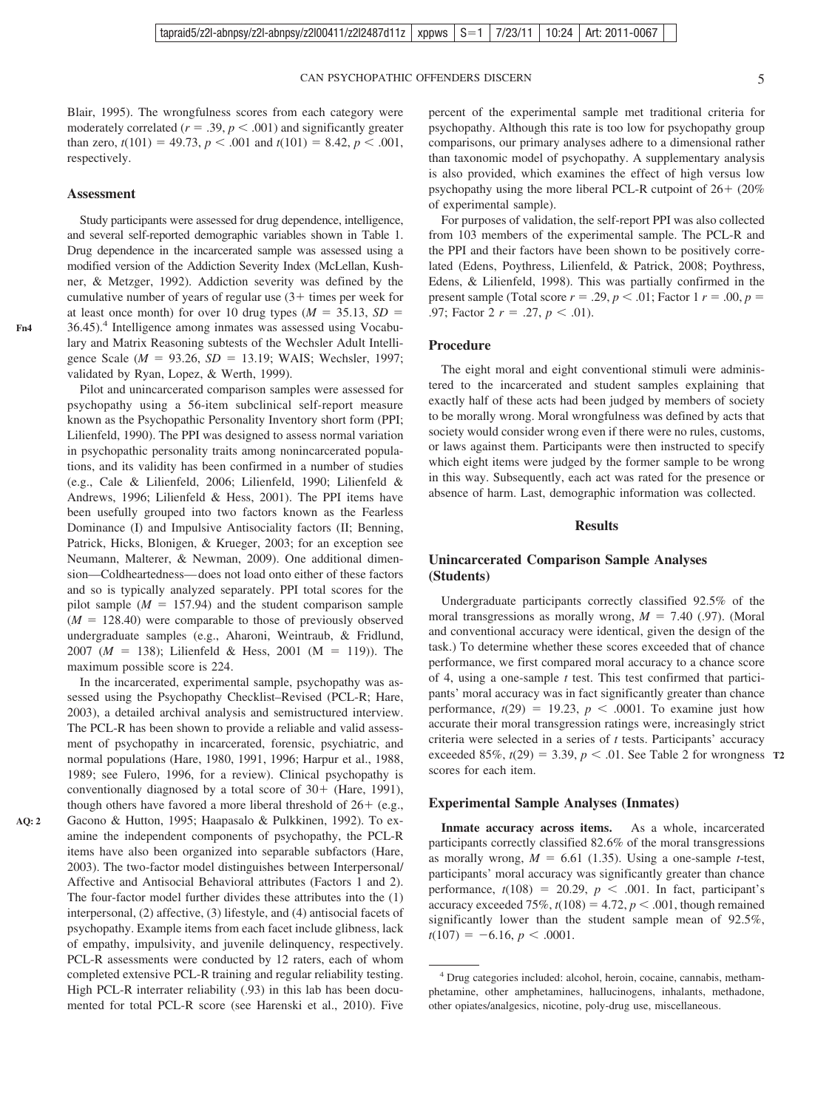Blair, 1995). The wrongfulness scores from each category were moderately correlated ( $r = .39$ ,  $p < .001$ ) and significantly greater than zero,  $t(101) = 49.73$ ,  $p < .001$  and  $t(101) = 8.42$ ,  $p < .001$ , respectively.

#### **Assessment**

Study participants were assessed for drug dependence, intelligence, and several self-reported demographic variables shown in Table 1. Drug dependence in the incarcerated sample was assessed using a modified version of the Addiction Severity Index (McLellan, Kushner, & Metzger, 1992). Addiction severity was defined by the cumulative number of years of regular use  $(3 + \text{times per week for})$ at least once month) for over 10 drug types ( $M = 35.13$ ,  $SD =$ 36.45).4 Intelligence among inmates was assessed using Vocabulary and Matrix Reasoning subtests of the Wechsler Adult Intelligence Scale ( $M = 93.26$ ,  $SD = 13.19$ ; WAIS; Wechsler, 1997; validated by Ryan, Lopez, & Werth, 1999).

Pilot and unincarcerated comparison samples were assessed for psychopathy using a 56-item subclinical self-report measure known as the Psychopathic Personality Inventory short form (PPI; Lilienfeld, 1990). The PPI was designed to assess normal variation in psychopathic personality traits among nonincarcerated populations, and its validity has been confirmed in a number of studies (e.g., Cale & Lilienfeld, 2006; Lilienfeld, 1990; Lilienfeld & Andrews, 1996; Lilienfeld & Hess, 2001). The PPI items have been usefully grouped into two factors known as the Fearless Dominance (I) and Impulsive Antisociality factors (II; Benning, Patrick, Hicks, Blonigen, & Krueger, 2003; for an exception see Neumann, Malterer, & Newman, 2009). One additional dimension—Coldheartedness— does not load onto either of these factors and so is typically analyzed separately. PPI total scores for the pilot sample  $(M = 157.94)$  and the student comparison sample  $(M = 128.40)$  were comparable to those of previously observed undergraduate samples (e.g., Aharoni, Weintraub, & Fridlund, 2007 ( $M = 138$ ); Lilienfeld & Hess, 2001 ( $M = 119$ )). The maximum possible score is 224.

In the incarcerated, experimental sample, psychopathy was assessed using the Psychopathy Checklist–Revised (PCL-R; Hare, 2003), a detailed archival analysis and semistructured interview. The PCL-R has been shown to provide a reliable and valid assessment of psychopathy in incarcerated, forensic, psychiatric, and normal populations (Hare, 1980, 1991, 1996; Harpur et al., 1988, 1989; see Fulero, 1996, for a review). Clinical psychopathy is conventionally diagnosed by a total score of 30+ (Hare, 1991), though others have favored a more liberal threshold of  $26 + (e.g.,)$ Gacono & Hutton, 1995; Haapasalo & Pulkkinen, 1992). To examine the independent components of psychopathy, the PCL-R items have also been organized into separable subfactors (Hare, 2003). The two-factor model distinguishes between Interpersonal/ Affective and Antisocial Behavioral attributes (Factors 1 and 2). The four-factor model further divides these attributes into the (1) interpersonal, (2) affective, (3) lifestyle, and (4) antisocial facets of psychopathy. Example items from each facet include glibness, lack of empathy, impulsivity, and juvenile delinquency, respectively. PCL-R assessments were conducted by 12 raters, each of whom completed extensive PCL-R training and regular reliability testing. High PCL-R interrater reliability (.93) in this lab has been documented for total PCL-R score (see Harenski et al., 2010). Five percent of the experimental sample met traditional criteria for psychopathy. Although this rate is too low for psychopathy group comparisons, our primary analyses adhere to a dimensional rather than taxonomic model of psychopathy. A supplementary analysis is also provided, which examines the effect of high versus low psychopathy using the more liberal PCL-R cutpoint of  $26+$   $(20\%$ of experimental sample).

For purposes of validation, the self-report PPI was also collected from 103 members of the experimental sample. The PCL-R and the PPI and their factors have been shown to be positively correlated (Edens, Poythress, Lilienfeld, & Patrick, 2008; Poythress, Edens, & Lilienfeld, 1998). This was partially confirmed in the present sample (Total score  $r = .29$ ,  $p < .01$ ; Factor 1  $r = .00$ ,  $p =$ .97; Factor 2  $r = .27$ ,  $p < .01$ ).

# **Procedure**

The eight moral and eight conventional stimuli were administered to the incarcerated and student samples explaining that exactly half of these acts had been judged by members of society to be morally wrong. Moral wrongfulness was defined by acts that society would consider wrong even if there were no rules, customs, or laws against them. Participants were then instructed to specify which eight items were judged by the former sample to be wrong in this way. Subsequently, each act was rated for the presence or absence of harm. Last, demographic information was collected.

# **Results**

# **Unincarcerated Comparison Sample Analyses (Students)**

Undergraduate participants correctly classified 92.5% of the moral transgressions as morally wrong,  $M = 7.40$  (.97). (Moral and conventional accuracy were identical, given the design of the task.) To determine whether these scores exceeded that of chance performance, we first compared moral accuracy to a chance score of 4, using a one-sample *t* test. This test confirmed that participants' moral accuracy was in fact significantly greater than chance performance,  $t(29) = 19.23$ ,  $p < .0001$ . To examine just how accurate their moral transgression ratings were, increasingly strict criteria were selected in a series of *t* tests. Participants' accuracy exceeded  $85\%, t(29) = 3.39, p < .01$ . See Table 2 for wrongness **T2** scores for each item.

#### **Experimental Sample Analyses (Inmates)**

**Inmate accuracy across items.** As a whole, incarcerated participants correctly classified 82.6% of the moral transgressions as morally wrong,  $M = 6.61$  (1.35). Using a one-sample *t*-test, participants' moral accuracy was significantly greater than chance performance,  $t(108) = 20.29$ ,  $p < .001$ . In fact, participant's accuracy exceeded 75%,  $t(108) = 4.72$ ,  $p < .001$ , though remained significantly lower than the student sample mean of 92.5%,  $t(107) = -6.16, p < .0001.$ 

**AQ: 2**

<sup>4</sup> Drug categories included: alcohol, heroin, cocaine, cannabis, methamphetamine, other amphetamines, hallucinogens, inhalants, methadone, other opiates/analgesics, nicotine, poly-drug use, miscellaneous.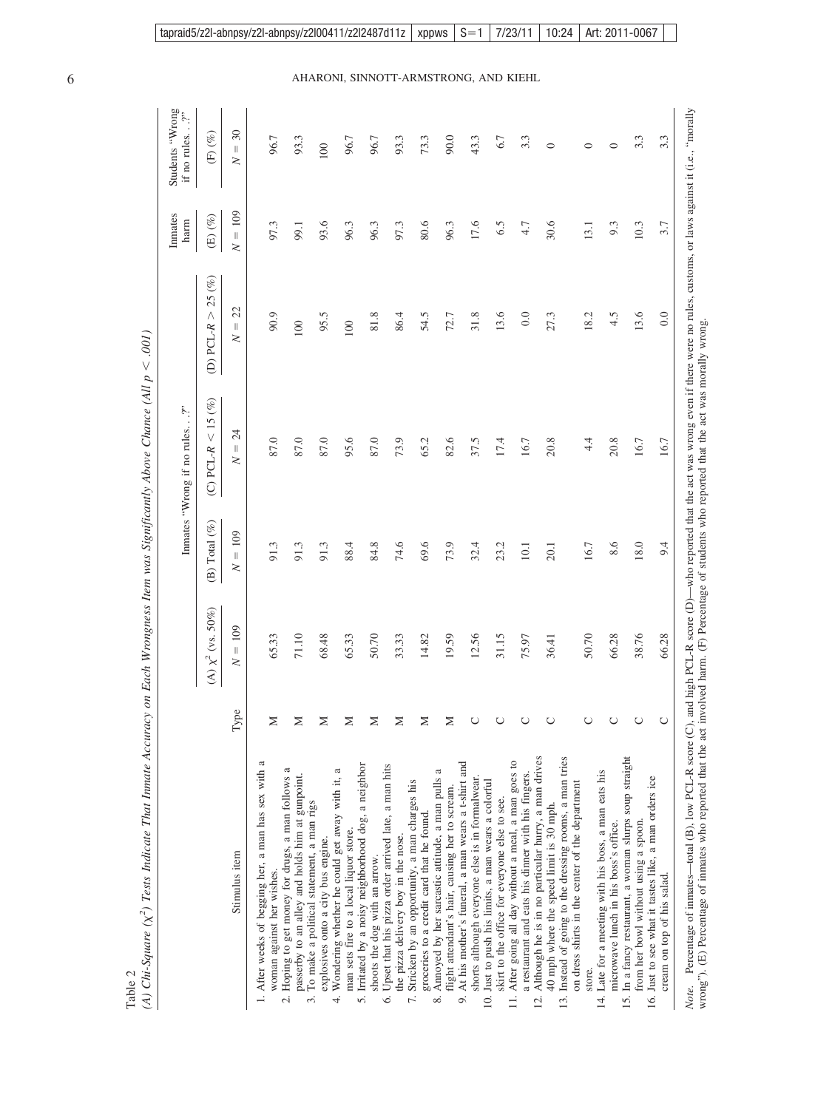|                                                                                                                                                                                                                                                                                                                                                             |        |                        |                                | Inmates "Wrong if no rules?"                          |                                 | Inmates<br>harm      | Students "Wrong<br>if no rules. $\ldots$ ?" |
|-------------------------------------------------------------------------------------------------------------------------------------------------------------------------------------------------------------------------------------------------------------------------------------------------------------------------------------------------------------|--------|------------------------|--------------------------------|-------------------------------------------------------|---------------------------------|----------------------|---------------------------------------------|
|                                                                                                                                                                                                                                                                                                                                                             |        | (A) $\chi^2$ (vs. 50%) | (B) Total $(\%$ )              | $(\%)$<br>$\overline{15}$<br>$\vee$<br>$(C)$ PCL- $R$ | (%)<br>25<br>(D) PCL- $R$ >     | $\mathbb (E)$ $(\%)$ | $(F)$ $(\%$                                 |
| Stimulus item                                                                                                                                                                                                                                                                                                                                               | Type   | $= 109$<br>$\geq$      | 109<br>$\bar{\rm I}$<br>$\geq$ | $^{24}$<br>$\lvert \rvert$<br>$\geq$                  | 22<br>$\lvert \rvert$<br>$\geq$ | $N = 109$            | $30\,$<br>$\lvert \rvert$<br>$\geq$         |
| 1. After weeks of begging her, a man has sex with a<br>woman against her wishes.                                                                                                                                                                                                                                                                            | Σ      | 65.33                  | 91.3                           | 87.0                                                  | 90.9                            | 97.3                 | 96.7                                        |
| a<br>2. Hoping to get money for drugs, a man follows<br>passerby to an alley and holds him at gunpoint.                                                                                                                                                                                                                                                     | z      | 71.10                  | 91.3                           | 87.0                                                  | 100                             | 99.1                 | 93.3                                        |
| 3. To make a political statement, a man rigs<br>explosives onto a city bus engine.                                                                                                                                                                                                                                                                          | Σ      | 68.48                  | 91.3                           | 87.0                                                  | 95.5                            | 93.6                 | 100                                         |
| Wondering whether he could get away with it, a<br>man sets fire to a local liquor store.<br>4                                                                                                                                                                                                                                                               | z      | 65.33                  | 88.4                           | 95.6                                                  | 100                             | 96.3                 | 96.7                                        |
| 5. Irritated by a noisy neighborhood dog, a neighbor<br>shoots the dog with an arrow.                                                                                                                                                                                                                                                                       | Σ      | 50.70                  | 84.8                           | 87.0                                                  | 81.8                            | 96.3                 | 96.7                                        |
| Upset that his pizza order arrived late, a man hits<br>the pizza delivery boy in the nose.<br>$\circ$                                                                                                                                                                                                                                                       | z      | 33.33                  | 74.6                           | 73.9                                                  | 86.4                            | 97.3                 | 93.3                                        |
| Stricken by an opportunity, a man charges his<br>groceries to a credit card that he found.<br>7.                                                                                                                                                                                                                                                            | Z      | 14.82                  | 69.6                           | 65.2                                                  | 54.5                            | 80.6                 | 73.3                                        |
| Annoyed by her sarcastic attitude, a man pulls a<br>flight attendant's hair, causing her to scream.<br>œ.                                                                                                                                                                                                                                                   | Σ      | 19.59                  | 73.9                           | 82.6                                                  | 72.7                            | 96.3                 | 90.0                                        |
| 9. At his mother's funeral, a man wears a t-shirt and<br>shorts although everyone else is in formalwear.                                                                                                                                                                                                                                                    | ◡      | 12.56                  | 32.4                           | 37.5                                                  | 31.8                            | 17.6                 | 43.3                                        |
| 10. Just to push his limits, a man wears a colorful<br>skirt to the office for everyone else to see.                                                                                                                                                                                                                                                        |        | 31.15                  | 23.2                           | 17.4                                                  | 13.6                            | 6.5                  | 6.7                                         |
| 11. After going all day without a meal, a man goes to<br>a restaurant and eats his dinner with his fingers.                                                                                                                                                                                                                                                 |        | 75.97                  | 10.1                           | 16.7                                                  | 0.0                             | 4.7                  | 3.3                                         |
| Although he is in no particular hurry, a man drives<br>40 mph where the speed limit is 30 mph.<br>12.                                                                                                                                                                                                                                                       |        | 36.41                  | 20.1                           | 20.8                                                  | 27.3                            | 30.6                 | $\circ$                                     |
| 13. Instead of going to the dressing rooms, a man tries<br>on dress shirts in the center of the department                                                                                                                                                                                                                                                  |        |                        |                                |                                                       |                                 |                      |                                             |
| store.                                                                                                                                                                                                                                                                                                                                                      |        | 50.70                  | 16.7                           | 4.4                                                   | 18.2                            | 13.1                 | $\circ$                                     |
| 14. Late for a meeting with his boss, a man eats his<br>microwave lunch in his boss's office.                                                                                                                                                                                                                                                               |        | 66.28                  | 8.6                            | 20.8                                                  | 4.5                             | 9.3                  | $\circ$                                     |
| In a fancy restaurant, a woman slurps soup straight<br>from her bowl without using a spoon.<br>15.                                                                                                                                                                                                                                                          | ◡      | 38.76                  | 18.0                           | 16.7                                                  | 13.6                            | 10.3                 | 3.3                                         |
| 16. Just to see what it tastes like, a man orders ice<br>cream on top of his salad.                                                                                                                                                                                                                                                                         | $\cup$ | 66.28                  | 9.4                            | 16.7                                                  | 0.0                             | 3.7                  | 3.3                                         |
| Percentage of inmates—total (B), low PCL-R score (C), and high PCL-R score (D)—who reported that the act was wrong even if there were no rules, customs, or laws against it (i.e., "morally<br>wrong"). (E) Percentage of immates who reported that the act involved harm. (F) Percentage of students who reported that the act was morally wrong.<br>Note. |        |                        |                                |                                                       |                                 |                      |                                             |

 $\frac{1}{2}$  tapraid5/z2l-abnpsy/z2l-abnpsy/z2l00411/z2l2487d11z  $\frac{1}{2}$  xppws  $\frac{1}{2}$  S=1  $\frac{1}{2}$  7/23/11  $\frac{1}{2}$  10:24  $\frac{1}{2}$  Art: 2011-0067

Table 2 *(A) Chi-Square (*

 $\chi^2$ ) Tests Indicate That Inmate Accuracy on Each Wrongness Item was Significantly Above Chance (All p

*.001)*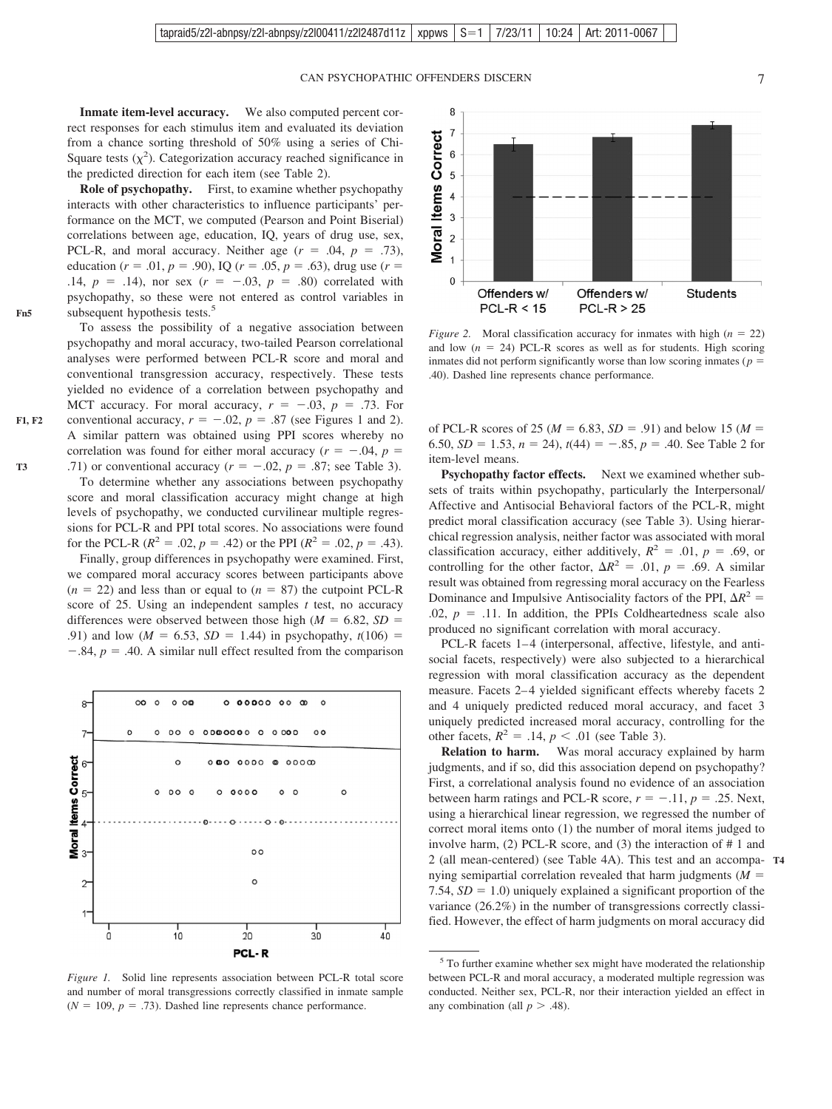**Inmate item-level accuracy.** We also computed percent correct responses for each stimulus item and evaluated its deviation from a chance sorting threshold of 50% using a series of Chi-Square tests  $(\chi^2)$ . Categorization accuracy reached significance in the predicted direction for each item (see Table 2).

**Role of psychopathy.** First, to examine whether psychopathy interacts with other characteristics to influence participants' performance on the MCT, we computed (Pearson and Point Biserial) correlations between age, education, IQ, years of drug use, sex, PCL-R, and moral accuracy. Neither age  $(r = .04, p = .73)$ , education ( $r = .01$ ,  $p = .90$ ), IQ ( $r = .05$ ,  $p = .63$ ), drug use ( $r =$ .14,  $p = .14$ ), nor sex ( $r = -.03$ ,  $p = .80$ ) correlated with psychopathy, so these were not entered as control variables in subsequent hypothesis tests.<sup>5</sup>

To assess the possibility of a negative association between psychopathy and moral accuracy, two-tailed Pearson correlational analyses were performed between PCL-R score and moral and conventional transgression accuracy, respectively. These tests yielded no evidence of a correlation between psychopathy and MCT accuracy. For moral accuracy,  $r = -.03$ ,  $p = .73$ . For conventional accuracy,  $r = -.02$ ,  $p = .87$  (see Figures 1 and 2). A similar pattern was obtained using PPI scores whereby no correlation was found for either moral accuracy ( $r = -.04$ ,  $p =$ .71) or conventional accuracy ( $r = -.02$ ,  $p = .87$ ; see Table 3).

To determine whether any associations between psychopathy score and moral classification accuracy might change at high levels of psychopathy, we conducted curvilinear multiple regressions for PCL-R and PPI total scores. No associations were found for the PCL-R ( $R^2 = .02$ ,  $p = .42$ ) or the PPI ( $R^2 = .02$ ,  $p = .43$ ).

Finally, group differences in psychopathy were examined. First, we compared moral accuracy scores between participants above  $(n = 22)$  and less than or equal to  $(n = 87)$  the cutpoint PCL-R score of 25. Using an independent samples *t* test, no accuracy differences were observed between those high ( $M = 6.82$ ,  $SD =$ .91) and low ( $M = 6.53$ ,  $SD = 1.44$ ) in psychopathy,  $t(106) =$  $-.84, p = .40$ . A similar null effect resulted from the comparison



*Figure 1.* Solid line represents association between PCL-R total score and number of moral transgressions correctly classified in inmate sample  $(N = 109, p = .73)$ . Dashed line represents chance performance.



*Figure 2.* Moral classification accuracy for inmates with high  $(n = 22)$ and low  $(n = 24)$  PCL-R scores as well as for students. High scoring inmates did not perform significantly worse than low scoring inmates ( $p =$ .40). Dashed line represents chance performance.

of PCL-R scores of 25 ( $M = 6.83$ ,  $SD = .91$ ) and below 15 ( $M =$ 6.50,  $SD = 1.53$ ,  $n = 24$ ),  $t(44) = -.85$ ,  $p = .40$ . See Table 2 for item-level means.

**Psychopathy factor effects.** Next we examined whether subsets of traits within psychopathy, particularly the Interpersonal/ Affective and Antisocial Behavioral factors of the PCL-R, might predict moral classification accuracy (see Table 3). Using hierarchical regression analysis, neither factor was associated with moral classification accuracy, either additively,  $R^2 = .01$ ,  $p = .69$ , or controlling for the other factor,  $\Delta R^2 = .01$ ,  $p = .69$ . A similar result was obtained from regressing moral accuracy on the Fearless Dominance and Impulsive Antisociality factors of the PPI,  $\Delta R^2$  = .02,  $p = .11$ . In addition, the PPIs Coldheartedness scale also produced no significant correlation with moral accuracy.

PCL-R facets 1-4 (interpersonal, affective, lifestyle, and antisocial facets, respectively) were also subjected to a hierarchical regression with moral classification accuracy as the dependent measure. Facets 2–4 yielded significant effects whereby facets 2 and 4 uniquely predicted reduced moral accuracy, and facet 3 uniquely predicted increased moral accuracy, controlling for the other facets,  $R^2 = .14$ ,  $p < .01$  (see Table 3).

**Relation to harm.** Was moral accuracy explained by harm judgments, and if so, did this association depend on psychopathy? First, a correlational analysis found no evidence of an association between harm ratings and PCL-R score,  $r = -.11$ ,  $p = .25$ . Next, using a hierarchical linear regression, we regressed the number of correct moral items onto (1) the number of moral items judged to involve harm, (2) PCL-R score, and (3) the interaction of # 1 and 2 (all mean-centered) (see Table 4A). This test and an accompa-**T4** nying semipartial correlation revealed that harm judgments (*M* 7.54,  $SD = 1.0$ ) uniquely explained a significant proportion of the variance (26.2%) in the number of transgressions correctly classified. However, the effect of harm judgments on moral accuracy did

**F1, F2**

**T3**

<sup>5</sup> To further examine whether sex might have moderated the relationship between PCL-R and moral accuracy, a moderated multiple regression was conducted. Neither sex, PCL-R, nor their interaction yielded an effect in any combination (all  $p > .48$ ).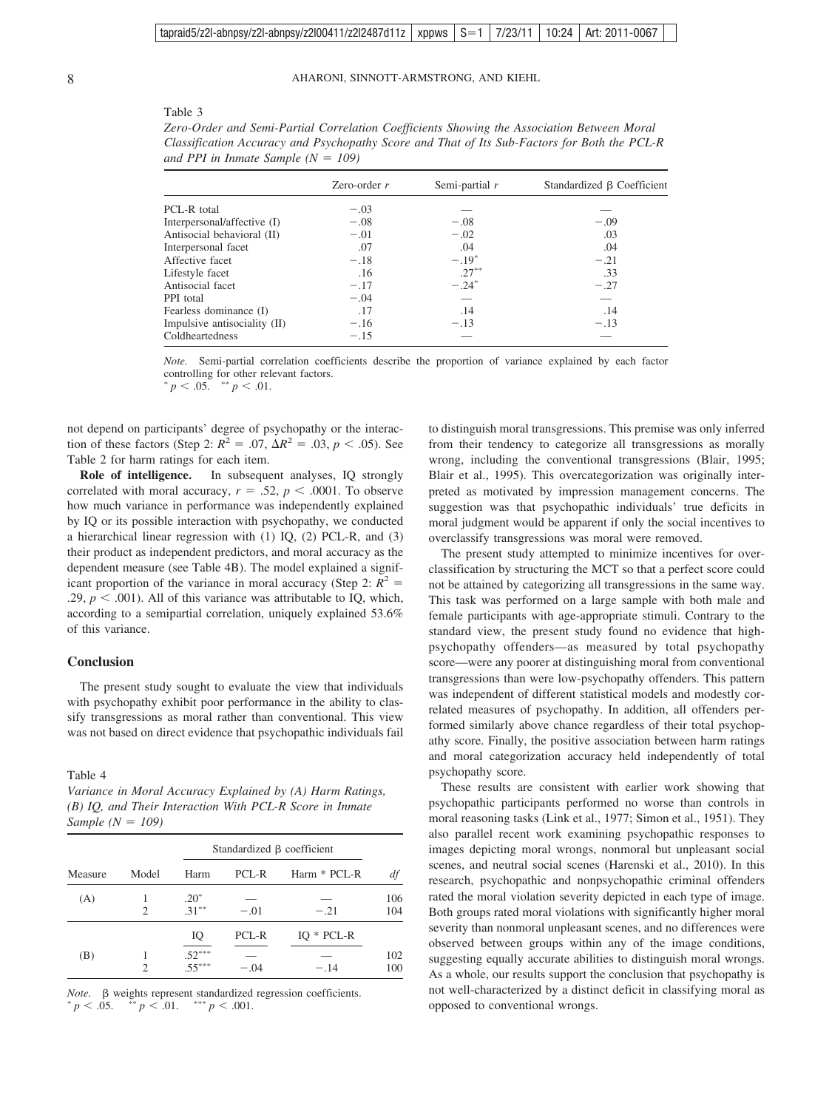## Table 3

*Zero-Order and Semi-Partial Correlation Coefficients Showing the Association Between Moral Classification Accuracy and Psychopathy Score and That of Its Sub-Factors for Both the PCL-R and PPI in Inmate Sample*  $(N = 109)$ 

|                              | Zero-order $r$ | Semi-partial $r$ | Standardized β Coefficient |
|------------------------------|----------------|------------------|----------------------------|
| PCL-R total                  | $-.03$         |                  |                            |
| Interpersonal/affective (I)  | $-.08$         | $-.08$           | $-.09$                     |
| Antisocial behavioral (II)   | $-.01$         | $-.02$           | .03                        |
| Interpersonal facet          | .07            | .04              | .04                        |
| Affective facet              | $-.18$         | $-.19*$          | $-.21$                     |
| Lifestyle facet              | .16            | $.27***$         | .33                        |
| Antisocial facet             | $-.17$         | $-.24*$          | $-.27$                     |
| PPI total                    | $-.04$         |                  |                            |
| Fearless dominance (I)       | .17            | .14              | .14                        |
| Impulsive antisociality (II) | $-.16$         | $-.13$           | $-.13$                     |
| Coldheartedness              | $-.15$         |                  |                            |

*Note.* Semi-partial correlation coefficients describe the proportion of variance explained by each factor controlling for other relevant factors.

 $p < .05.$  *p* < .01.

not depend on participants' degree of psychopathy or the interaction of these factors (Step 2:  $R^2 = .07$ ,  $\Delta R^2 = .03$ ,  $p < .05$ ). See Table 2 for harm ratings for each item.

**Role of intelligence.** In subsequent analyses, IQ strongly correlated with moral accuracy,  $r = .52$ ,  $p < .0001$ . To observe how much variance in performance was independently explained by IQ or its possible interaction with psychopathy, we conducted a hierarchical linear regression with (1) IQ, (2) PCL-R, and (3) their product as independent predictors, and moral accuracy as the dependent measure (see Table 4B). The model explained a significant proportion of the variance in moral accuracy (Step 2:  $R^2$  = .29,  $p < .001$ ). All of this variance was attributable to IQ, which, according to a semipartial correlation, uniquely explained 53.6% of this variance.

# **Conclusion**

The present study sought to evaluate the view that individuals with psychopathy exhibit poor performance in the ability to classify transgressions as moral rather than conventional. This view was not based on direct evidence that psychopathic individuals fail

# Table 4

*Variance in Moral Accuracy Explained by (A) Harm Ratings, (B) IQ, and Their Interaction With PCL-R Score in Inmate Sample (N 109)*

|         |                |                     |        | Standardized $\beta$ coefficient |            |
|---------|----------------|---------------------|--------|----------------------------------|------------|
| Measure | Model          | Harm                | PCL-R  | Harm * PCL-R                     | df         |
| (A)     | $\overline{c}$ | $.20*$<br>$.31***$  | $-.01$ | $-.21$                           | 106<br>104 |
|         |                | IQ                  | PCL-R  | IO * PCL-R                       |            |
| (B)     |                | $.52***$<br>$55***$ | $-.04$ | $-.14$                           | 102<br>100 |

*Note.*  $\beta$  weights represent standardized regression coefficients.  $p < .05$ .  $p < .01$ .  $p < .001$ .

to distinguish moral transgressions. This premise was only inferred from their tendency to categorize all transgressions as morally wrong, including the conventional transgressions (Blair, 1995; Blair et al., 1995). This overcategorization was originally interpreted as motivated by impression management concerns. The suggestion was that psychopathic individuals' true deficits in moral judgment would be apparent if only the social incentives to overclassify transgressions was moral were removed.

The present study attempted to minimize incentives for overclassification by structuring the MCT so that a perfect score could not be attained by categorizing all transgressions in the same way. This task was performed on a large sample with both male and female participants with age-appropriate stimuli. Contrary to the standard view, the present study found no evidence that highpsychopathy offenders—as measured by total psychopathy score—were any poorer at distinguishing moral from conventional transgressions than were low-psychopathy offenders. This pattern was independent of different statistical models and modestly correlated measures of psychopathy. In addition, all offenders performed similarly above chance regardless of their total psychopathy score. Finally, the positive association between harm ratings and moral categorization accuracy held independently of total psychopathy score.

These results are consistent with earlier work showing that psychopathic participants performed no worse than controls in moral reasoning tasks (Link et al., 1977; Simon et al., 1951). They also parallel recent work examining psychopathic responses to images depicting moral wrongs, nonmoral but unpleasant social scenes, and neutral social scenes (Harenski et al., 2010). In this research, psychopathic and nonpsychopathic criminal offenders rated the moral violation severity depicted in each type of image. Both groups rated moral violations with significantly higher moral severity than nonmoral unpleasant scenes, and no differences were observed between groups within any of the image conditions, suggesting equally accurate abilities to distinguish moral wrongs. As a whole, our results support the conclusion that psychopathy is not well-characterized by a distinct deficit in classifying moral as opposed to conventional wrongs.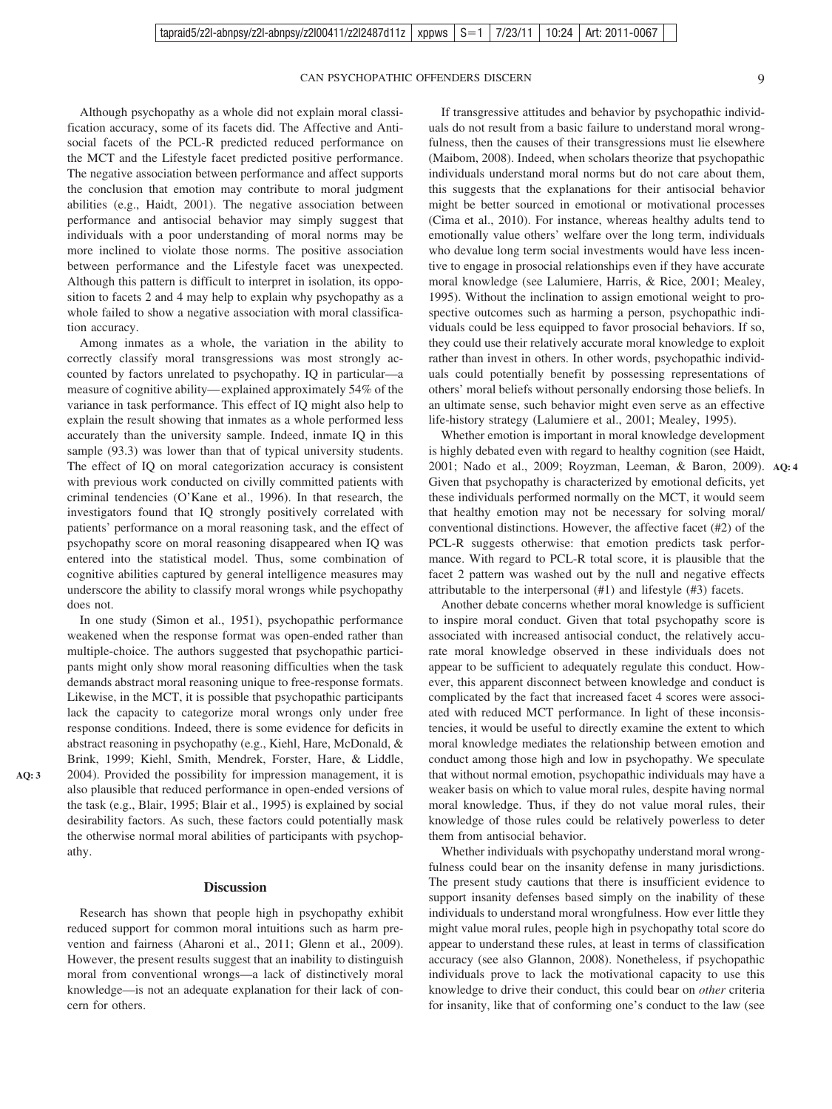Although psychopathy as a whole did not explain moral classification accuracy, some of its facets did. The Affective and Antisocial facets of the PCL-R predicted reduced performance on the MCT and the Lifestyle facet predicted positive performance. The negative association between performance and affect supports the conclusion that emotion may contribute to moral judgment abilities (e.g., Haidt, 2001). The negative association between performance and antisocial behavior may simply suggest that individuals with a poor understanding of moral norms may be more inclined to violate those norms. The positive association between performance and the Lifestyle facet was unexpected. Although this pattern is difficult to interpret in isolation, its opposition to facets 2 and 4 may help to explain why psychopathy as a whole failed to show a negative association with moral classification accuracy.

Among inmates as a whole, the variation in the ability to correctly classify moral transgressions was most strongly accounted by factors unrelated to psychopathy. IQ in particular—a measure of cognitive ability— explained approximately 54% of the variance in task performance. This effect of IQ might also help to explain the result showing that inmates as a whole performed less accurately than the university sample. Indeed, inmate IQ in this sample (93.3) was lower than that of typical university students. The effect of IQ on moral categorization accuracy is consistent with previous work conducted on civilly committed patients with criminal tendencies (O'Kane et al., 1996). In that research, the investigators found that IQ strongly positively correlated with patients' performance on a moral reasoning task, and the effect of psychopathy score on moral reasoning disappeared when IQ was entered into the statistical model. Thus, some combination of cognitive abilities captured by general intelligence measures may underscore the ability to classify moral wrongs while psychopathy does not.

In one study (Simon et al., 1951), psychopathic performance weakened when the response format was open-ended rather than multiple-choice. The authors suggested that psychopathic participants might only show moral reasoning difficulties when the task demands abstract moral reasoning unique to free-response formats. Likewise, in the MCT, it is possible that psychopathic participants lack the capacity to categorize moral wrongs only under free response conditions. Indeed, there is some evidence for deficits in abstract reasoning in psychopathy (e.g., Kiehl, Hare, McDonald, & Brink, 1999; Kiehl, Smith, Mendrek, Forster, Hare, & Liddle, 2004). Provided the possibility for impression management, it is also plausible that reduced performance in open-ended versions of the task (e.g., Blair, 1995; Blair et al., 1995) is explained by social desirability factors. As such, these factors could potentially mask the otherwise normal moral abilities of participants with psychopathy.

#### **Discussion**

Research has shown that people high in psychopathy exhibit reduced support for common moral intuitions such as harm prevention and fairness (Aharoni et al., 2011; Glenn et al., 2009). However, the present results suggest that an inability to distinguish moral from conventional wrongs—a lack of distinctively moral knowledge—is not an adequate explanation for their lack of concern for others.

If transgressive attitudes and behavior by psychopathic individuals do not result from a basic failure to understand moral wrongfulness, then the causes of their transgressions must lie elsewhere (Maibom, 2008). Indeed, when scholars theorize that psychopathic individuals understand moral norms but do not care about them, this suggests that the explanations for their antisocial behavior might be better sourced in emotional or motivational processes (Cima et al., 2010). For instance, whereas healthy adults tend to emotionally value others' welfare over the long term, individuals who devalue long term social investments would have less incentive to engage in prosocial relationships even if they have accurate moral knowledge (see Lalumiere, Harris, & Rice, 2001; Mealey, 1995). Without the inclination to assign emotional weight to prospective outcomes such as harming a person, psychopathic individuals could be less equipped to favor prosocial behaviors. If so, they could use their relatively accurate moral knowledge to exploit rather than invest in others. In other words, psychopathic individuals could potentially benefit by possessing representations of others' moral beliefs without personally endorsing those beliefs. In an ultimate sense, such behavior might even serve as an effective life-history strategy (Lalumiere et al., 2001; Mealey, 1995).

Whether emotion is important in moral knowledge development is highly debated even with regard to healthy cognition (see Haidt, 2001; Nado et al., 2009; Royzman, Leeman, & Baron, 2009). **AQ: 4** Given that psychopathy is characterized by emotional deficits, yet these individuals performed normally on the MCT, it would seem that healthy emotion may not be necessary for solving moral/ conventional distinctions. However, the affective facet (#2) of the PCL-R suggests otherwise: that emotion predicts task performance. With regard to PCL-R total score, it is plausible that the facet 2 pattern was washed out by the null and negative effects attributable to the interpersonal (#1) and lifestyle (#3) facets.

Another debate concerns whether moral knowledge is sufficient to inspire moral conduct. Given that total psychopathy score is associated with increased antisocial conduct, the relatively accurate moral knowledge observed in these individuals does not appear to be sufficient to adequately regulate this conduct. However, this apparent disconnect between knowledge and conduct is complicated by the fact that increased facet 4 scores were associated with reduced MCT performance. In light of these inconsistencies, it would be useful to directly examine the extent to which moral knowledge mediates the relationship between emotion and conduct among those high and low in psychopathy. We speculate that without normal emotion, psychopathic individuals may have a weaker basis on which to value moral rules, despite having normal moral knowledge. Thus, if they do not value moral rules, their knowledge of those rules could be relatively powerless to deter them from antisocial behavior.

Whether individuals with psychopathy understand moral wrongfulness could bear on the insanity defense in many jurisdictions. The present study cautions that there is insufficient evidence to support insanity defenses based simply on the inability of these individuals to understand moral wrongfulness. How ever little they might value moral rules, people high in psychopathy total score do appear to understand these rules, at least in terms of classification accuracy (see also Glannon, 2008). Nonetheless, if psychopathic individuals prove to lack the motivational capacity to use this knowledge to drive their conduct, this could bear on *other* criteria for insanity, like that of conforming one's conduct to the law (see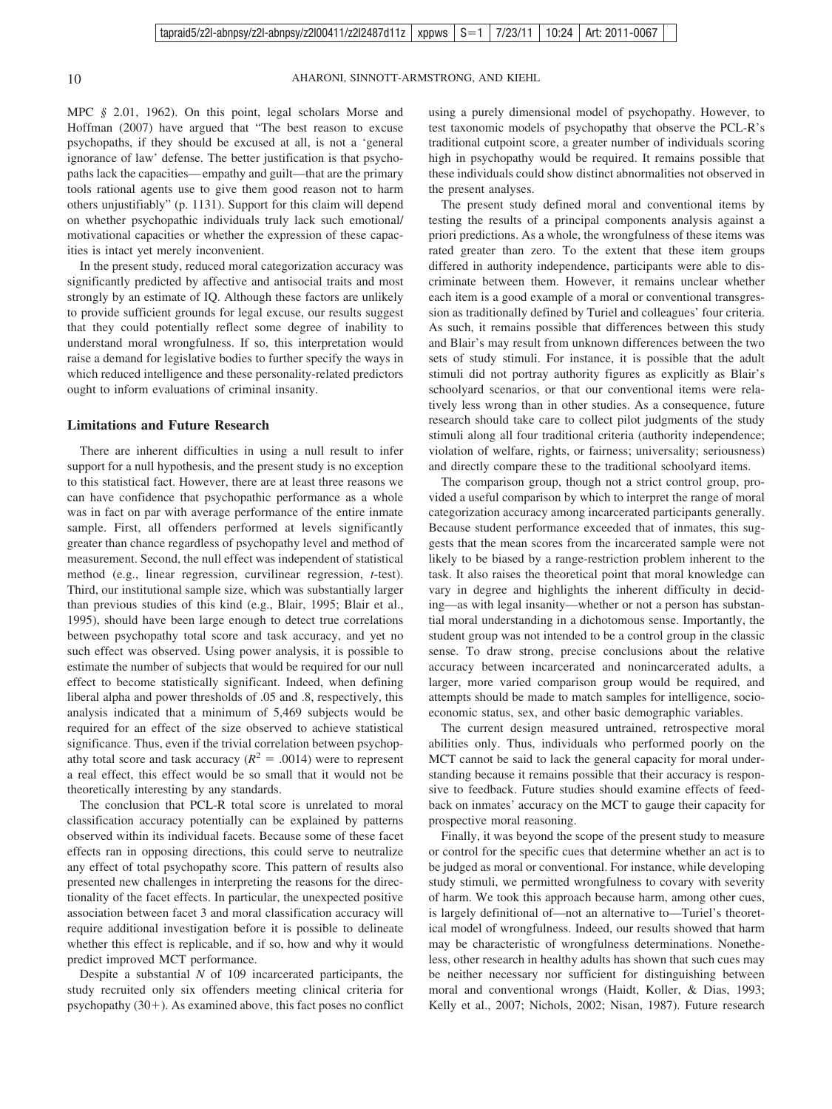MPC *§* 2.01, 1962). On this point, legal scholars Morse and Hoffman (2007) have argued that "The best reason to excuse psychopaths, if they should be excused at all, is not a 'general ignorance of law' defense. The better justification is that psychopaths lack the capacities— empathy and guilt—that are the primary tools rational agents use to give them good reason not to harm others unjustifiably" (p. 1131). Support for this claim will depend on whether psychopathic individuals truly lack such emotional/ motivational capacities or whether the expression of these capacities is intact yet merely inconvenient.

In the present study, reduced moral categorization accuracy was significantly predicted by affective and antisocial traits and most strongly by an estimate of IQ. Although these factors are unlikely to provide sufficient grounds for legal excuse, our results suggest that they could potentially reflect some degree of inability to understand moral wrongfulness. If so, this interpretation would raise a demand for legislative bodies to further specify the ways in which reduced intelligence and these personality-related predictors ought to inform evaluations of criminal insanity.

# **Limitations and Future Research**

There are inherent difficulties in using a null result to infer support for a null hypothesis, and the present study is no exception to this statistical fact. However, there are at least three reasons we can have confidence that psychopathic performance as a whole was in fact on par with average performance of the entire inmate sample. First, all offenders performed at levels significantly greater than chance regardless of psychopathy level and method of measurement. Second, the null effect was independent of statistical method (e.g., linear regression, curvilinear regression, *t*-test). Third, our institutional sample size, which was substantially larger than previous studies of this kind (e.g., Blair, 1995; Blair et al., 1995), should have been large enough to detect true correlations between psychopathy total score and task accuracy, and yet no such effect was observed. Using power analysis, it is possible to estimate the number of subjects that would be required for our null effect to become statistically significant. Indeed, when defining liberal alpha and power thresholds of .05 and .8, respectively, this analysis indicated that a minimum of 5,469 subjects would be required for an effect of the size observed to achieve statistical significance. Thus, even if the trivial correlation between psychopathy total score and task accuracy  $(R^2 = .0014)$  were to represent a real effect, this effect would be so small that it would not be theoretically interesting by any standards.

The conclusion that PCL-R total score is unrelated to moral classification accuracy potentially can be explained by patterns observed within its individual facets. Because some of these facet effects ran in opposing directions, this could serve to neutralize any effect of total psychopathy score. This pattern of results also presented new challenges in interpreting the reasons for the directionality of the facet effects. In particular, the unexpected positive association between facet 3 and moral classification accuracy will require additional investigation before it is possible to delineate whether this effect is replicable, and if so, how and why it would predict improved MCT performance.

Despite a substantial *N* of 109 incarcerated participants, the study recruited only six offenders meeting clinical criteria for  $psychopathy (30+)$ . As examined above, this fact poses no conflict

using a purely dimensional model of psychopathy. However, to test taxonomic models of psychopathy that observe the PCL-R's traditional cutpoint score, a greater number of individuals scoring high in psychopathy would be required. It remains possible that these individuals could show distinct abnormalities not observed in the present analyses.

The present study defined moral and conventional items by testing the results of a principal components analysis against a priori predictions. As a whole, the wrongfulness of these items was rated greater than zero. To the extent that these item groups differed in authority independence, participants were able to discriminate between them. However, it remains unclear whether each item is a good example of a moral or conventional transgression as traditionally defined by Turiel and colleagues' four criteria. As such, it remains possible that differences between this study and Blair's may result from unknown differences between the two sets of study stimuli. For instance, it is possible that the adult stimuli did not portray authority figures as explicitly as Blair's schoolyard scenarios, or that our conventional items were relatively less wrong than in other studies. As a consequence, future research should take care to collect pilot judgments of the study stimuli along all four traditional criteria (authority independence; violation of welfare, rights, or fairness; universality; seriousness) and directly compare these to the traditional schoolyard items.

The comparison group, though not a strict control group, provided a useful comparison by which to interpret the range of moral categorization accuracy among incarcerated participants generally. Because student performance exceeded that of inmates, this suggests that the mean scores from the incarcerated sample were not likely to be biased by a range-restriction problem inherent to the task. It also raises the theoretical point that moral knowledge can vary in degree and highlights the inherent difficulty in deciding—as with legal insanity—whether or not a person has substantial moral understanding in a dichotomous sense. Importantly, the student group was not intended to be a control group in the classic sense. To draw strong, precise conclusions about the relative accuracy between incarcerated and nonincarcerated adults, a larger, more varied comparison group would be required, and attempts should be made to match samples for intelligence, socioeconomic status, sex, and other basic demographic variables.

The current design measured untrained, retrospective moral abilities only. Thus, individuals who performed poorly on the MCT cannot be said to lack the general capacity for moral understanding because it remains possible that their accuracy is responsive to feedback. Future studies should examine effects of feedback on inmates' accuracy on the MCT to gauge their capacity for prospective moral reasoning.

Finally, it was beyond the scope of the present study to measure or control for the specific cues that determine whether an act is to be judged as moral or conventional. For instance, while developing study stimuli, we permitted wrongfulness to covary with severity of harm. We took this approach because harm, among other cues, is largely definitional of—not an alternative to—Turiel's theoretical model of wrongfulness. Indeed, our results showed that harm may be characteristic of wrongfulness determinations. Nonetheless, other research in healthy adults has shown that such cues may be neither necessary nor sufficient for distinguishing between moral and conventional wrongs (Haidt, Koller, & Dias, 1993; Kelly et al., 2007; Nichols, 2002; Nisan, 1987). Future research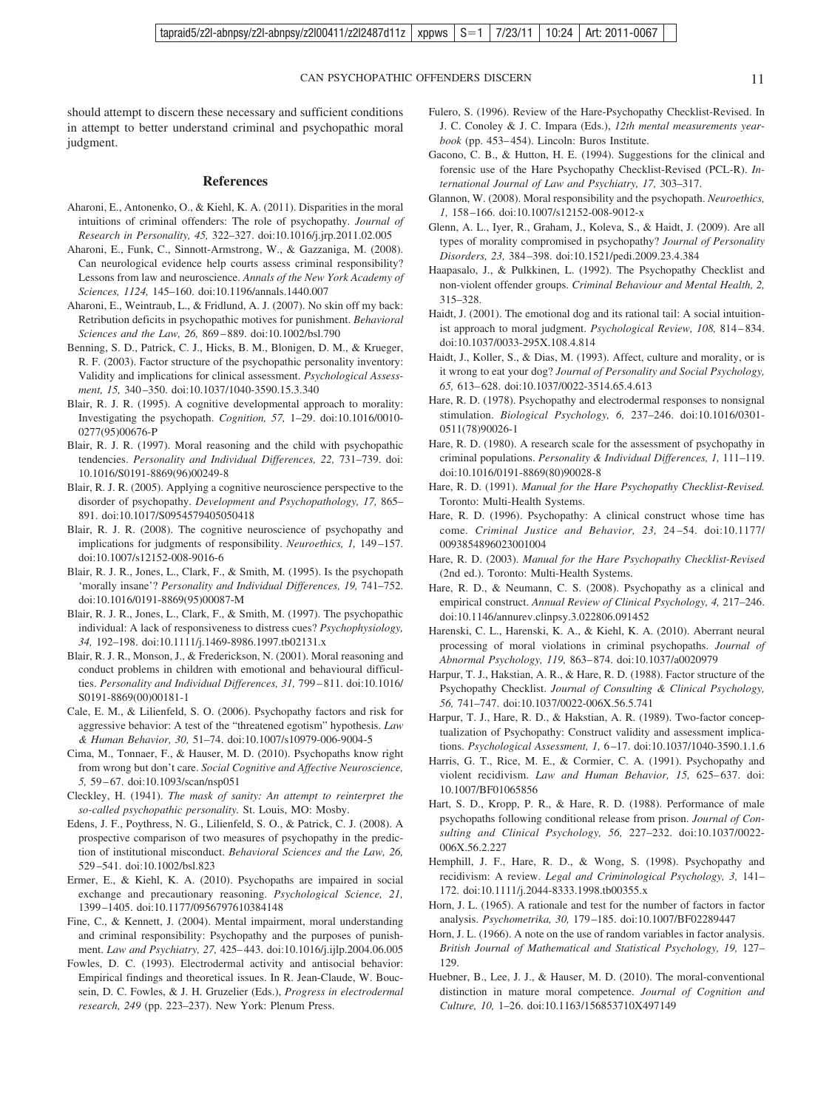should attempt to discern these necessary and sufficient conditions in attempt to better understand criminal and psychopathic moral judgment.

#### **References**

- Aharoni, E., Antonenko, O., & Kiehl, K. A. (2011). Disparities in the moral intuitions of criminal offenders: The role of psychopathy. *Journal of Research in Personality, 45,* 322–327. doi:10.1016/j.jrp.2011.02.005
- Aharoni, E., Funk, C., Sinnott-Armstrong, W., & Gazzaniga, M. (2008). Can neurological evidence help courts assess criminal responsibility? Lessons from law and neuroscience. *Annals of the New York Academy of Sciences, 1124,* 145–160. doi:10.1196/annals.1440.007
- Aharoni, E., Weintraub, L., & Fridlund, A. J. (2007). No skin off my back: Retribution deficits in psychopathic motives for punishment. *Behavioral Sciences and the Law, 26,* 869 – 889. doi:10.1002/bsl.790
- Benning, S. D., Patrick, C. J., Hicks, B. M., Blonigen, D. M., & Krueger, R. F. (2003). Factor structure of the psychopathic personality inventory: Validity and implications for clinical assessment. *Psychological Assessment, 15,* 340 –350. doi:10.1037/1040-3590.15.3.340
- Blair, R. J. R. (1995). A cognitive developmental approach to morality: Investigating the psychopath. *Cognition, 57,* 1–29. doi:10.1016/0010- 0277(95)00676-P
- Blair, R. J. R. (1997). Moral reasoning and the child with psychopathic tendencies. *Personality and Individual Differences, 22,* 731–739. doi: 10.1016/S0191-8869(96)00249-8
- Blair, R. J. R. (2005). Applying a cognitive neuroscience perspective to the disorder of psychopathy. *Development and Psychopathology, 17,* 865– 891. doi:10.1017/S0954579405050418
- Blair, R. J. R. (2008). The cognitive neuroscience of psychopathy and implications for judgments of responsibility. *Neuroethics, 1,* 149 –157. doi:10.1007/s12152-008-9016-6
- Blair, R. J. R., Jones, L., Clark, F., & Smith, M. (1995). Is the psychopath 'morally insane'? *Personality and Individual Differences, 19,* 741–752. doi:10.1016/0191-8869(95)00087-M
- Blair, R. J. R., Jones, L., Clark, F., & Smith, M. (1997). The psychopathic individual: A lack of responsiveness to distress cues? *Psychophysiology, 34,* 192–198. doi:10.1111/j.1469-8986.1997.tb02131.x
- Blair, R. J. R., Monson, J., & Frederickson, N. (2001). Moral reasoning and conduct problems in children with emotional and behavioural difficulties. *Personality and Individual Differences, 31,* 799 – 811. doi:10.1016/ S0191-8869(00)00181-1
- Cale, E. M., & Lilienfeld, S. O. (2006). Psychopathy factors and risk for aggressive behavior: A test of the "threatened egotism" hypothesis. *Law & Human Behavior, 30,* 51–74. doi:10.1007/s10979-006-9004-5
- Cima, M., Tonnaer, F., & Hauser, M. D. (2010). Psychopaths know right from wrong but don't care. *Social Cognitive and Affective Neuroscience, 5,* 59 – 67. doi:10.1093/scan/nsp051
- Cleckley, H. (1941). *The mask of sanity: An attempt to reinterpret the so-called psychopathic personality.* St. Louis, MO: Mosby.
- Edens, J. F., Poythress, N. G., Lilienfeld, S. O., & Patrick, C. J. (2008). A prospective comparison of two measures of psychopathy in the prediction of institutional misconduct. *Behavioral Sciences and the Law, 26,* 529 –541. doi:10.1002/bsl.823
- Ermer, E., & Kiehl, K. A. (2010). Psychopaths are impaired in social exchange and precautionary reasoning. *Psychological Science, 21,* 1399 –1405. doi:10.1177/0956797610384148
- Fine, C., & Kennett, J. (2004). Mental impairment, moral understanding and criminal responsibility: Psychopathy and the purposes of punishment. *Law and Psychiatry, 27,* 425– 443. doi:10.1016/j.ijlp.2004.06.005
- Fowles, D. C. (1993). Electrodermal activity and antisocial behavior: Empirical findings and theoretical issues. In R. Jean-Claude, W. Boucsein, D. C. Fowles, & J. H. Gruzelier (Eds.), *Progress in electrodermal research, 249* (pp. 223–237). New York: Plenum Press.
- Fulero, S. (1996). Review of the Hare-Psychopathy Checklist-Revised. In J. C. Conoley & J. C. Impara (Eds.), *12th mental measurements yearbook* (pp. 453– 454). Lincoln: Buros Institute.
- Gacono, C. B., & Hutton, H. E. (1994). Suggestions for the clinical and forensic use of the Hare Psychopathy Checklist-Revised (PCL-R). *International Journal of Law and Psychiatry, 17,* 303–317.
- Glannon, W. (2008). Moral responsibility and the psychopath. *Neuroethics, 1,* 158 –166. doi:10.1007/s12152-008-9012-x
- Glenn, A. L., Iyer, R., Graham, J., Koleva, S., & Haidt, J. (2009). Are all types of morality compromised in psychopathy? *Journal of Personality Disorders, 23,* 384 –398. doi:10.1521/pedi.2009.23.4.384
- Haapasalo, J., & Pulkkinen, L. (1992). The Psychopathy Checklist and non-violent offender groups. *Criminal Behaviour and Mental Health, 2,* 315–328.
- Haidt, J. (2001). The emotional dog and its rational tail: A social intuitionist approach to moral judgment. *Psychological Review, 108,* 814 – 834. doi:10.1037/0033-295X.108.4.814
- Haidt, J., Koller, S., & Dias, M. (1993). Affect, culture and morality, or is it wrong to eat your dog? *Journal of Personality and Social Psychology, 65,* 613– 628. doi:10.1037/0022-3514.65.4.613
- Hare, R. D. (1978). Psychopathy and electrodermal responses to nonsignal stimulation. *Biological Psychology, 6,* 237–246. doi:10.1016/0301- 0511(78)90026-1
- Hare, R. D. (1980). A research scale for the assessment of psychopathy in criminal populations. *Personality & Individual Differences, 1,* 111–119. doi:10.1016/0191-8869(80)90028-8
- Hare, R. D. (1991). *Manual for the Hare Psychopathy Checklist-Revised.* Toronto: Multi-Health Systems.
- Hare, R. D. (1996). Psychopathy: A clinical construct whose time has come. *Criminal Justice and Behavior, 23,* 24 –54. doi:10.1177/ 0093854896023001004
- Hare, R. D. (2003). *Manual for the Hare Psychopathy Checklist-Revised* (2nd ed.). Toronto: Multi-Health Systems.
- Hare, R. D., & Neumann, C. S. (2008). Psychopathy as a clinical and empirical construct. *Annual Review of Clinical Psychology, 4,* 217–246. doi:10.1146/annurev.clinpsy.3.022806.091452
- Harenski, C. L., Harenski, K. A., & Kiehl, K. A. (2010). Aberrant neural processing of moral violations in criminal psychopaths. *Journal of Abnormal Psychology, 119,* 863– 874. doi:10.1037/a0020979
- Harpur, T. J., Hakstian, A. R., & Hare, R. D. (1988). Factor structure of the Psychopathy Checklist. *Journal of Consulting & Clinical Psychology, 56,* 741–747. doi:10.1037/0022-006X.56.5.741
- Harpur, T. J., Hare, R. D., & Hakstian, A. R. (1989). Two-factor conceptualization of Psychopathy: Construct validity and assessment implications. *Psychological Assessment, 1,* 6 –17. doi:10.1037/1040-3590.1.1.6
- Harris, G. T., Rice, M. E., & Cormier, C. A. (1991). Psychopathy and violent recidivism. *Law and Human Behavior*, 15, 625-637. doi: 10.1007/BF01065856
- Hart, S. D., Kropp, P. R., & Hare, R. D. (1988). Performance of male psychopaths following conditional release from prison. *Journal of Consulting and Clinical Psychology, 56,* 227–232. doi:10.1037/0022- 006X.56.2.227
- Hemphill, J. F., Hare, R. D., & Wong, S. (1998). Psychopathy and recidivism: A review. *Legal and Criminological Psychology, 3,* 141– 172. doi:10.1111/j.2044-8333.1998.tb00355.x
- Horn, J. L. (1965). A rationale and test for the number of factors in factor analysis. *Psychometrika, 30,* 179 –185. doi:10.1007/BF02289447
- Horn, J. L. (1966). A note on the use of random variables in factor analysis. *British Journal of Mathematical and Statistical Psychology, 19,* 127– 129.
- Huebner, B., Lee, J. J., & Hauser, M. D. (2010). The moral-conventional distinction in mature moral competence. *Journal of Cognition and Culture, 10,* 1–26. doi:10.1163/156853710X497149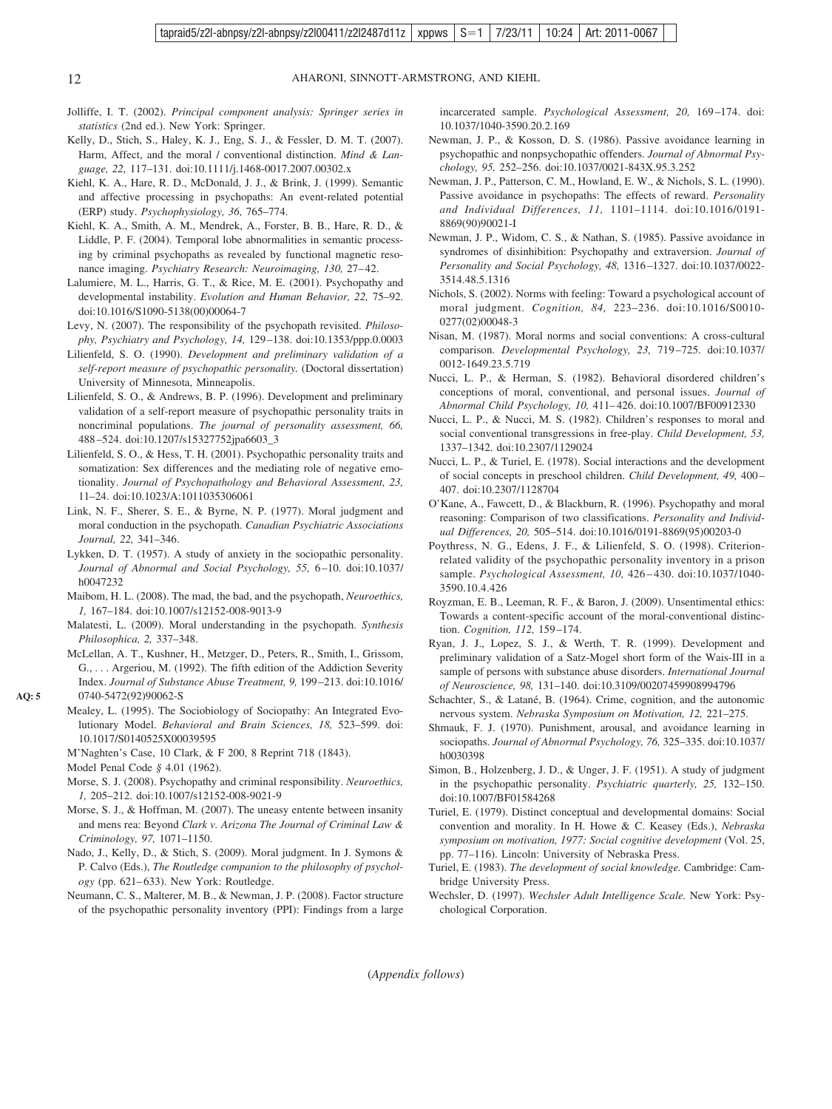tapraid5/z2l-abnpsy/z2l-abnpsy/z2l00411/z2l2487d11z | xppws  $\mid S=1 \mid 7/23/11 \mid 10:24 \mid$  Art: 2011-0067

12 AHARONI, SINNOTT-ARMSTRONG, AND KIEHL

- Jolliffe, I. T. (2002). *Principal component analysis: Springer series in statistics* (2nd ed.). New York: Springer.
- Kelly, D., Stich, S., Haley, K. J., Eng, S. J., & Fessler, D. M. T. (2007). Harm, Affect, and the moral / conventional distinction. *Mind & Language, 22,* 117–131. doi:10.1111/j.1468-0017.2007.00302.x
- Kiehl, K. A., Hare, R. D., McDonald, J. J., & Brink, J. (1999). Semantic and affective processing in psychopaths: An event-related potential (ERP) study. *Psychophysiology, 36,* 765–774.
- Kiehl, K. A., Smith, A. M., Mendrek, A., Forster, B. B., Hare, R. D., & Liddle, P. F. (2004). Temporal lobe abnormalities in semantic processing by criminal psychopaths as revealed by functional magnetic resonance imaging. *Psychiatry Research: Neuroimaging, 130, 27-42.*
- Lalumiere, M. L., Harris, G. T., & Rice, M. E. (2001). Psychopathy and developmental instability. *Evolution and Human Behavior, 22,* 75–92. doi:10.1016/S1090-5138(00)00064-7
- Levy, N. (2007). The responsibility of the psychopath revisited. *Philosophy, Psychiatry and Psychology, 14,* 129 –138. doi:10.1353/ppp.0.0003
- Lilienfeld, S. O. (1990). *Development and preliminary validation of a self-report measure of psychopathic personality.* (Doctoral dissertation) University of Minnesota, Minneapolis.
- Lilienfeld, S. O., & Andrews, B. P. (1996). Development and preliminary validation of a self-report measure of psychopathic personality traits in noncriminal populations. *The journal of personality assessment, 66,* 488 –524. doi:10.1207/s15327752jpa6603\_3
- Lilienfeld, S. O., & Hess, T. H. (2001). Psychopathic personality traits and somatization: Sex differences and the mediating role of negative emotionality. *Journal of Psychopathology and Behavioral Assessment, 23,* 11–24. doi:10.1023/A:1011035306061
- Link, N. F., Sherer, S. E., & Byrne, N. P. (1977). Moral judgment and moral conduction in the psychopath. *Canadian Psychiatric Associations Journal, 22,* 341–346.
- Lykken, D. T. (1957). A study of anxiety in the sociopathic personality. *Journal of Abnormal and Social Psychology, 55,* 6 –10. doi:10.1037/ h0047232
- Maibom, H. L. (2008). The mad, the bad, and the psychopath, *Neuroethics, 1,* 167–184. doi:10.1007/s12152-008-9013-9
- Malatesti, L. (2009). Moral understanding in the psychopath. *Synthesis Philosophica, 2,* 337–348.
- McLellan, A. T., Kushner, H., Metzger, D., Peters, R., Smith, I., Grissom, G., . . . Argeriou, M. (1992). The fifth edition of the Addiction Severity Index. *Journal of Substance Abuse Treatment, 9,* 199 –213. doi:10.1016/ 0740-5472(92)90062-S
- 

**AQ: 5**

- Mealey, L. (1995). The Sociobiology of Sociopathy: An Integrated Evolutionary Model. *Behavioral and Brain Sciences, 18,* 523–599. doi: 10.1017/S0140525X00039595
- M'Naghten's Case, 10 Clark, & F 200, 8 Reprint 718 (1843).
- Model Penal Code *§* 4.01 (1962).
- Morse, S. J. (2008). Psychopathy and criminal responsibility. *Neuroethics, 1,* 205–212. doi:10.1007/s12152-008-9021-9
- Morse, S. J., & Hoffman, M. (2007). The uneasy entente between insanity and mens rea: Beyond *Clark v. Arizona The Journal of Criminal Law & Criminology, 97,* 1071–1150.
- Nado, J., Kelly, D., & Stich, S. (2009). Moral judgment. In J. Symons & P. Calvo (Eds.), *The Routledge companion to the philosophy of psychology* (pp. 621–633). New York: Routledge.
- Neumann, C. S., Malterer, M. B., & Newman, J. P. (2008). Factor structure of the psychopathic personality inventory (PPI): Findings from a large

incarcerated sample. *Psychological Assessment*, 20, 169-174. doi: 10.1037/1040-3590.20.2.169

- Newman, J. P., & Kosson, D. S. (1986). Passive avoidance learning in psychopathic and nonpsychopathic offenders. *Journal of Abnormal Psychology, 95,* 252–256. doi:10.1037/0021-843X.95.3.252
- Newman, J. P., Patterson, C. M., Howland, E. W., & Nichols, S. L. (1990). Passive avoidance in psychopaths: The effects of reward. *Personality and Individual Differences, 11,* 1101–1114. doi:10.1016/0191- 8869(90)90021-I
- Newman, J. P., Widom, C. S., & Nathan, S. (1985). Passive avoidance in syndromes of disinhibition: Psychopathy and extraversion. *Journal of Personality and Social Psychology, 48,* 1316 –1327. doi:10.1037/0022- 3514.48.5.1316
- Nichols, S. (2002). Norms with feeling: Toward a psychological account of moral judgment. *Cognition, 84,* 223–236. doi:10.1016/S0010- 0277(02)00048-3
- Nisan, M. (1987). Moral norms and social conventions: A cross-cultural comparison. *Developmental Psychology, 23,* 719 –725. doi:10.1037/ 0012-1649.23.5.719
- Nucci, L. P., & Herman, S. (1982). Behavioral disordered children's conceptions of moral, conventional, and personal issues. *Journal of Abnormal Child Psychology, 10,* 411– 426. doi:10.1007/BF00912330
- Nucci, L. P., & Nucci, M. S. (1982). Children's responses to moral and social conventional transgressions in free-play. *Child Development, 53,* 1337–1342. doi:10.2307/1129024
- Nucci, L. P., & Turiel, E. (1978). Social interactions and the development of social concepts in preschool children. *Child Development, 49,* 400 – 407. doi:10.2307/1128704
- O'Kane, A., Fawcett, D., & Blackburn, R. (1996). Psychopathy and moral reasoning: Comparison of two classifications. *Personality and Individual Differences, 20,* 505–514. doi:10.1016/0191-8869(95)00203-0
- Poythress, N. G., Edens, J. F., & Lilienfeld, S. O. (1998). Criterionrelated validity of the psychopathic personality inventory in a prison sample. *Psychological Assessment, 10,* 426 – 430. doi:10.1037/1040- 3590.10.4.426
- Royzman, E. B., Leeman, R. F., & Baron, J. (2009). Unsentimental ethics: Towards a content-specific account of the moral-conventional distinction. *Cognition, 112,* 159 –174.
- Ryan, J. J., Lopez, S. J., & Werth, T. R. (1999). Development and preliminary validation of a Satz-Mogel short form of the Wais-III in a sample of persons with substance abuse disorders. *International Journal of Neuroscience, 98,* 131–140. doi:10.3109/00207459908994796
- Schachter, S., & Latané, B. (1964). Crime, cognition, and the autonomic nervous system. *Nebraska Symposium on Motivation, 12,* 221–275.
- Shmauk, F. J. (1970). Punishment, arousal, and avoidance learning in sociopaths. *Journal of Abnormal Psychology, 76,* 325–335. doi:10.1037/ h0030398
- Simon, B., Holzenberg, J. D., & Unger, J. F. (1951). A study of judgment in the psychopathic personality. *Psychiatric quarterly, 25,* 132–150. doi:10.1007/BF01584268
- Turiel, E. (1979). Distinct conceptual and developmental domains: Social convention and morality. In H. Howe & C. Keasey (Eds.), *Nebraska symposium on motivation, 1977: Social cognitive development* (Vol. 25, pp. 77–116). Lincoln: University of Nebraska Press.
- Turiel, E. (1983). *The development of social knowledge.* Cambridge: Cambridge University Press.
- Wechsler, D. (1997). *Wechsler Adult Intelligence Scale.* New York: Psychological Corporation.

(*Appendix follows*)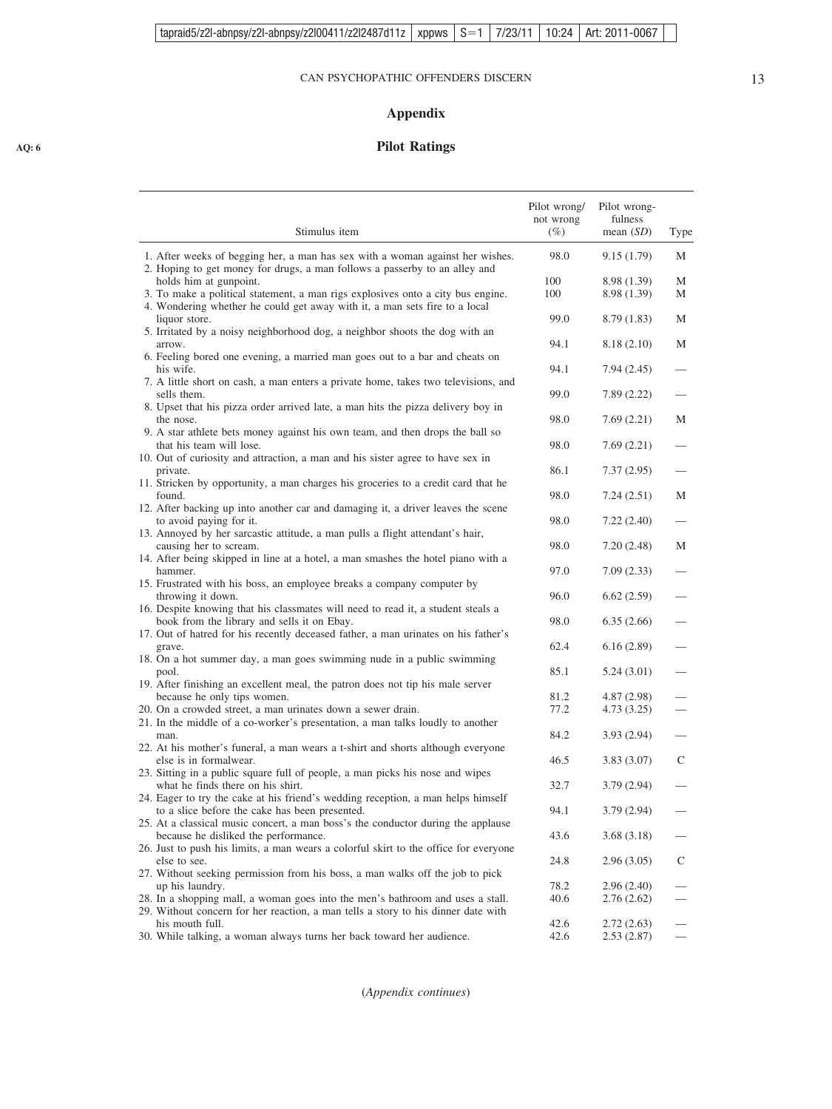# **Appendix**

# **Pilot Ratings**

| Stimulus item                                                                                                                                                                                                         | Pilot wrong/<br>not wrong<br>$(\%)$ | Pilot wrong-<br>fulness<br>mean $(SD)$ | Type                            |
|-----------------------------------------------------------------------------------------------------------------------------------------------------------------------------------------------------------------------|-------------------------------------|----------------------------------------|---------------------------------|
| 1. After weeks of begging her, a man has sex with a woman against her wishes.<br>2. Hoping to get money for drugs, a man follows a passerby to an alley and                                                           | 98.0                                | 9.15(1.79)                             | М                               |
| holds him at gunpoint.<br>3. To make a political statement, a man rigs explosives onto a city bus engine.<br>4. Wondering whether he could get away with it, a man sets fire to a local                               | 100<br>100                          | 8.98 (1.39)<br>8.98 (1.39)             | М<br>М                          |
| liquor store.<br>5. Irritated by a noisy neighborhood dog, a neighbor shoots the dog with an                                                                                                                          | 99.0                                | 8.79(1.83)                             | М                               |
| arrow.                                                                                                                                                                                                                | 94.1                                | 8.18 (2.10)                            | М                               |
| 6. Feeling bored one evening, a married man goes out to a bar and cheats on<br>his wife.<br>7. A little short on cash, a man enters a private home, takes two televisions, and                                        | 94.1                                | 7.94(2.45)                             | $\overline{\phantom{0}}$        |
| sells them.<br>8. Upset that his pizza order arrived late, a man hits the pizza delivery boy in                                                                                                                       | 99.0                                | 7.89(2.22)                             |                                 |
| the nose.                                                                                                                                                                                                             | 98.0                                | 7.69(2.21)                             | М                               |
| 9. A star athlete bets money against his own team, and then drops the ball so<br>that his team will lose.                                                                                                             | 98.0                                | 7.69(2.21)                             | $\overbrace{\phantom{13333}}$   |
| 10. Out of curiosity and attraction, a man and his sister agree to have sex in<br>private.                                                                                                                            | 86.1                                | 7.37(2.95)                             | $\overbrace{\phantom{13333}}$   |
| 11. Stricken by opportunity, a man charges his groceries to a credit card that he<br>found.                                                                                                                           | 98.0                                | 7.24(2.51)                             | М                               |
| 12. After backing up into another car and damaging it, a driver leaves the scene<br>to avoid paying for it.                                                                                                           | 98.0                                | 7.22(2.40)                             |                                 |
| 13. Annoyed by her sarcastic attitude, a man pulls a flight attendant's hair,<br>causing her to scream.                                                                                                               | 98.0                                | 7.20(2.48)                             | М                               |
| 14. After being skipped in line at a hotel, a man smashes the hotel piano with a<br>hammer.                                                                                                                           | 97.0                                | 7.09(2.33)                             |                                 |
| 15. Frustrated with his boss, an employee breaks a company computer by<br>throwing it down.                                                                                                                           | 96.0                                | 6.62(2.59)                             |                                 |
| 16. Despite knowing that his classmates will need to read it, a student steals a<br>book from the library and sells it on Ebay.<br>17. Out of hatred for his recently deceased father, a man urinates on his father's | 98.0                                | 6.35(2.66)                             | $\overline{\phantom{0}}$        |
| grave.<br>18. On a hot summer day, a man goes swimming nude in a public swimming                                                                                                                                      | 62.4                                | 6.16(2.89)                             |                                 |
| pool.<br>19. After finishing an excellent meal, the patron does not tip his male server                                                                                                                               | 85.1                                | 5.24 (3.01)                            | $\overline{\phantom{0}}$        |
| because he only tips women.                                                                                                                                                                                           | 81.2                                | 4.87(2.98)                             | $\overbrace{\phantom{13333}}$   |
| 20. On a crowded street, a man urinates down a sewer drain.<br>21. In the middle of a co-worker's presentation, a man talks loudly to another                                                                         | 77.2<br>84.2                        | 4.73(3.25)                             | $\qquad \qquad -$               |
| man.<br>22. At his mother's funeral, a man wears a t-shirt and shorts although everyone                                                                                                                               |                                     | 3.93 (2.94)                            |                                 |
| else is in formalwear.<br>23. Sitting in a public square full of people, a man picks his nose and wipes                                                                                                               | 46.5                                | 3.83(3.07)                             | C                               |
| what he finds there on his shirt.<br>24. Eager to try the cake at his friend's wedding reception, a man helps himself                                                                                                 | 32.7                                | 3.79(2.94)                             |                                 |
| to a slice before the cake has been presented.<br>25. At a classical music concert, a man boss's the conductor during the applause                                                                                    | 94.1                                | 3.79(2.94)                             |                                 |
| because he disliked the performance.<br>26. Just to push his limits, a man wears a colorful skirt to the office for everyone                                                                                          | 43.6                                | 3.68(3.18)                             |                                 |
| else to see.<br>27. Without seeking permission from his boss, a man walks off the job to pick                                                                                                                         | 24.8                                | 2.96(3.05)                             | C                               |
| up his laundry.                                                                                                                                                                                                       | 78.2                                | 2.96(2.40)                             |                                 |
| 28. In a shopping mall, a woman goes into the men's bathroom and uses a stall.<br>29. Without concern for her reaction, a man tells a story to his dinner date with                                                   | 40.6                                | 2.76(2.62)                             |                                 |
| his mouth full.<br>30. While talking, a woman always turns her back toward her audience.                                                                                                                              | 42.6<br>42.6                        | 2.72(2.63)<br>2.53(2.87)               | $\hspace{0.1mm}-\hspace{0.1mm}$ |

(*Appendix continues*)